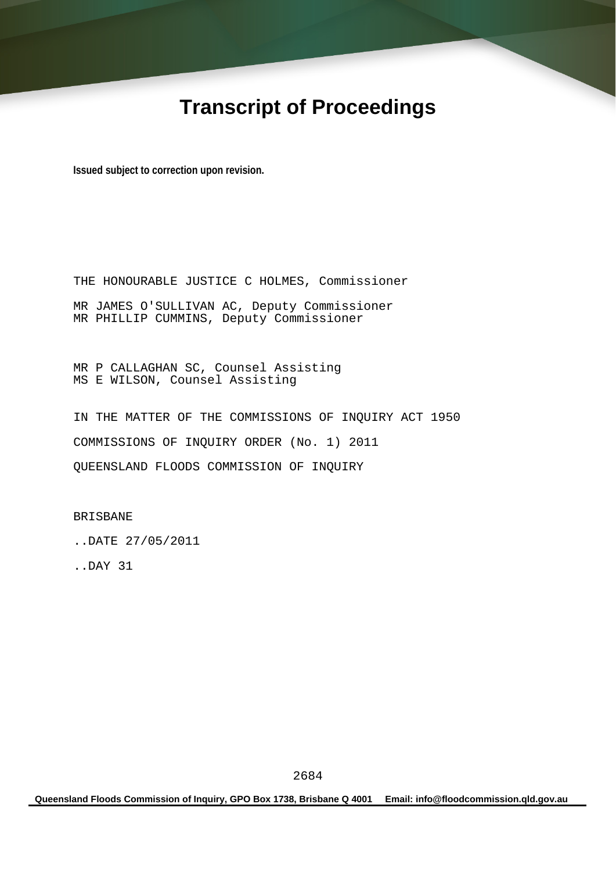# **Transcript of Proceedings**

**Issued subject to correction upon revision.** 

THE HONOURABLE JUSTICE C HOLMES, Commissioner MR JAMES O'SULLIVAN AC, Deputy Commissioner MR PHILLIP CUMMINS, Deputy Commissioner

MR P CALLAGHAN SC, Counsel Assisting MS E WILSON, Counsel Assisting

IN THE MATTER OF THE COMMISSIONS OF INQUIRY ACT 1950 COMMISSIONS OF INQUIRY ORDER (No. 1) 2011 QUEENSLAND FLOODS COMMISSION OF INQUIRY

BRISBANE

..DATE 27/05/2011

..DAY 31

**Queensland Floods Commission of Inquiry, GPO Box 1738, Brisbane Q 4001 Email: info@floodcommission.qld.gov.au**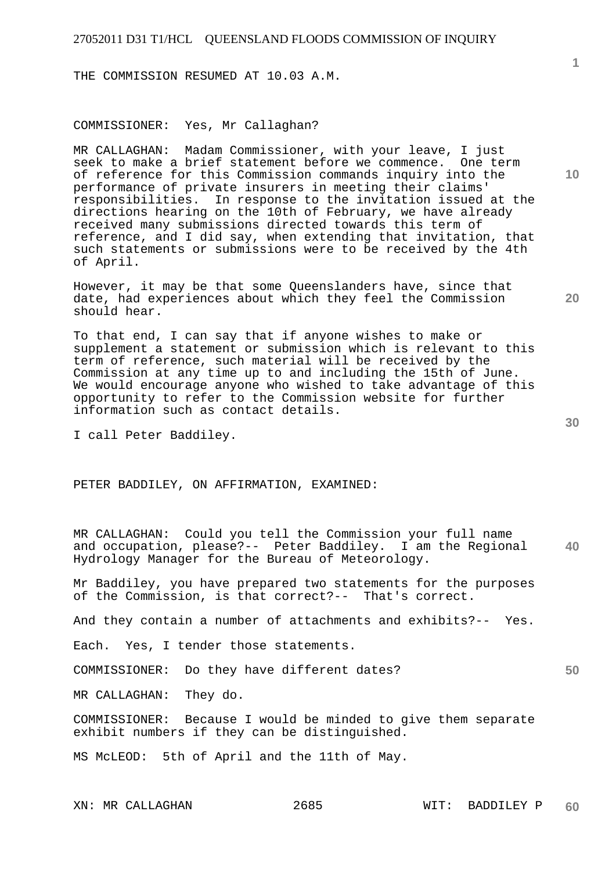THE COMMISSION RESUMED AT 10.03 A.M.

COMMISSIONER: Yes, Mr Callaghan?

MR CALLAGHAN: Madam Commissioner, with your leave, I just seek to make a brief statement before we commence. One term of reference for this Commission commands inquiry into the performance of private insurers in meeting their claims' responsibilities. In response to the invitation issued at the directions hearing on the 10th of February, we have already received many submissions directed towards this term of reference, and I did say, when extending that invitation, that such statements or submissions were to be received by the 4th of April.

However, it may be that some Queenslanders have, since that date, had experiences about which they feel the Commission should hear.

To that end, I can say that if anyone wishes to make or supplement a statement or submission which is relevant to this term of reference, such material will be received by the Commission at any time up to and including the 15th of June. We would encourage anyone who wished to take advantage of this opportunity to refer to the Commission website for further information such as contact details.

I call Peter Baddiley.

PETER BADDILEY, ON AFFIRMATION, EXAMINED:

**40**  MR CALLAGHAN: Could you tell the Commission your full name and occupation, please?-- Peter Baddiley. I am the Regional Hydrology Manager for the Bureau of Meteorology.

Mr Baddiley, you have prepared two statements for the purposes of the Commission, is that correct?-- That's correct.

And they contain a number of attachments and exhibits?-- Yes.

Each. Yes, I tender those statements.

COMMISSIONER: Do they have different dates?

MR CALLAGHAN: They do.

COMMISSIONER: Because I would be minded to give them separate exhibit numbers if they can be distinguished.

MS McLEOD: 5th of April and the 11th of May.

**10** 

**20** 

**1**

**30**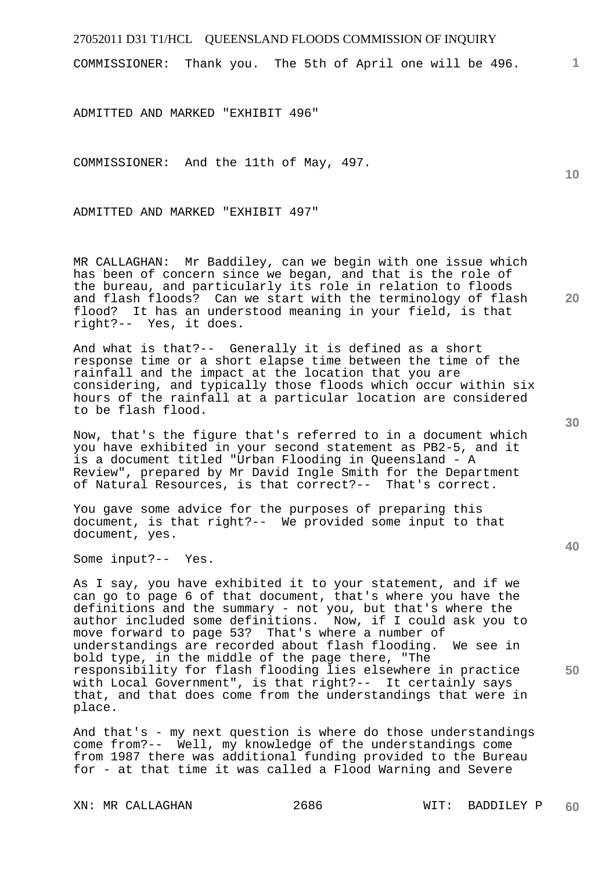COMMISSIONER: Thank you. The 5th of April one will be 496.

ADMITTED AND MARKED "EXHIBIT 496"

COMMISSIONER: And the 11th of May, 497.

ADMITTED AND MARKED "EXHIBIT 497"

MR CALLAGHAN: Mr Baddiley, can we begin with one issue which has been of concern since we began, and that is the role of the bureau, and particularly its role in relation to floods and flash floods? Can we start with the terminology of flash flood? It has an understood meaning in your field, is that right?-- Yes, it does.

And what is that?-- Generally it is defined as a short response time or a short elapse time between the time of the rainfall and the impact at the location that you are considering, and typically those floods which occur within six hours of the rainfall at a particular location are considered to be flash flood.

Now, that's the figure that's referred to in a document which you have exhibited in your second statement as PB2-5, and it is a document titled "Urban Flooding in Queensland - A Review", prepared by Mr David Ingle Smith for the Department of Natural Resources, is that correct?-- That's correct.

You gave some advice for the purposes of preparing this document, is that right?-- We provided some input to that document, yes.

Some input?-- Yes.

As I say, you have exhibited it to your statement, and if we can go to page 6 of that document, that's where you have the definitions and the summary - not you, but that's where the author included some definitions. Now, if I could ask you to move forward to page 53? That's where a number of understandings are recorded about flash flooding. We see in bold type, in the middle of the page there, "The responsibility for flash flooding lies elsewhere in practice with Local Government", is that right?-- It certainly says that, and that does come from the understandings that were in place.

And that's - my next question is where do those understandings come from?-- Well, my knowledge of the understandings come from 1987 there was additional funding provided to the Bureau for - at that time it was called a Flood Warning and Severe

**30** 

**20** 

**1**

**10**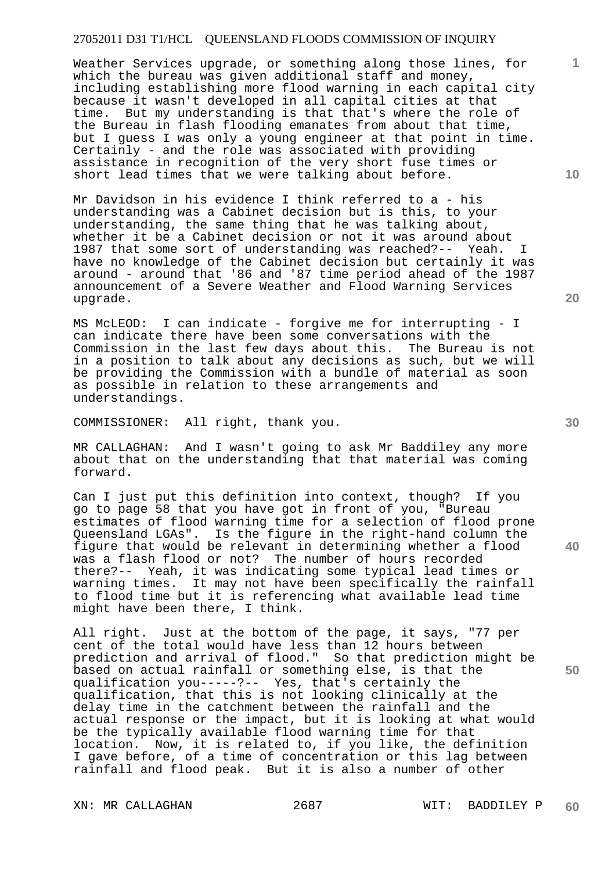Weather Services upgrade, or something along those lines, for which the bureau was given additional staff and money, including establishing more flood warning in each capital city because it wasn't developed in all capital cities at that time. But my understanding is that that's where the role of the Bureau in flash flooding emanates from about that time, but I guess I was only a young engineer at that point in time. Certainly - and the role was associated with providing assistance in recognition of the very short fuse times or short lead times that we were talking about before.

Mr Davidson in his evidence I think referred to a - his understanding was a Cabinet decision but is this, to your understanding, the same thing that he was talking about, whether it be a Cabinet decision or not it was around about 1987 that some sort of understanding was reached?-- Yeah. I have no knowledge of the Cabinet decision but certainly it was around - around that '86 and '87 time period ahead of the 1987 announcement of a Severe Weather and Flood Warning Services upgrade.

MS McLEOD: I can indicate - forgive me for interrupting - I can indicate there have been some conversations with the Commission in the last few days about this. The Bureau is not in a position to talk about any decisions as such, but we will be providing the Commission with a bundle of material as soon as possible in relation to these arrangements and understandings.

COMMISSIONER: All right, thank you.

MR CALLAGHAN: And I wasn't going to ask Mr Baddiley any more about that on the understanding that that material was coming forward.

Can I just put this definition into context, though? If you go to page 58 that you have got in front of you, "Bureau estimates of flood warning time for a selection of flood prone Queensland LGAs". Is the figure in the right-hand column the figure that would be relevant in determining whether a flood was a flash flood or not? The number of hours recorded there?-- Yeah, it was indicating some typical lead times or warning times. It may not have been specifically the rainfall to flood time but it is referencing what available lead time might have been there, I think.

All right. Just at the bottom of the page, it says, "77 per cent of the total would have less than 12 hours between prediction and arrival of flood." So that prediction might be based on actual rainfall or something else, is that the qualification you-----?-- Yes, that's certainly the qualification, that this is not looking clinically at the delay time in the catchment between the rainfall and the actual response or the impact, but it is looking at what would be the typically available flood warning time for that location. Now, it is related to, if you like, the definition I gave before, of a time of concentration or this lag between rainfall and flood peak. But it is also a number of other

**10** 

**1**

**20** 

**40**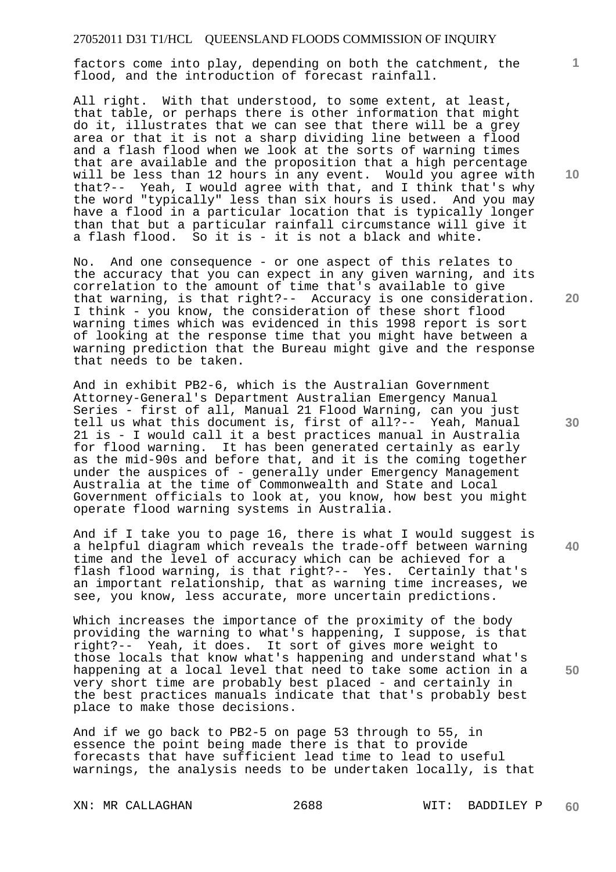factors come into play, depending on both the catchment, the flood, and the introduction of forecast rainfall.

All right. With that understood, to some extent, at least, that table, or perhaps there is other information that might do it, illustrates that we can see that there will be a grey area or that it is not a sharp dividing line between a flood and a flash flood when we look at the sorts of warning times that are available and the proposition that a high percentage will be less than 12 hours in any event. Would you agree with that?-- Yeah, I would agree with that, and I think that's why the word "typically" less than six hours is used. And you may have a flood in a particular location that is typically longer than that but a particular rainfall circumstance will give it a flash flood. So it is - it is not a black and white.

No. And one consequence - or one aspect of this relates to the accuracy that you can expect in any given warning, and its correlation to the amount of time that's available to give that warning, is that right?-- Accuracy is one consideration. I think - you know, the consideration of these short flood warning times which was evidenced in this 1998 report is sort of looking at the response time that you might have between a warning prediction that the Bureau might give and the response that needs to be taken.

And in exhibit PB2-6, which is the Australian Government Attorney-General's Department Australian Emergency Manual Series - first of all, Manual 21 Flood Warning, can you just tell us what this document is, first of all?-- Yeah, Manual 21 is - I would call it a best practices manual in Australia for flood warning. It has been generated certainly as early as the mid-90s and before that, and it is the coming together under the auspices of - generally under Emergency Management Australia at the time of Commonwealth and State and Local Government officials to look at, you know, how best you might operate flood warning systems in Australia.

And if I take you to page 16, there is what I would suggest is a helpful diagram which reveals the trade-off between warning time and the level of accuracy which can be achieved for a flash flood warning, is that right?-- Yes. Certainly that's an important relationship, that as warning time increases, we see, you know, less accurate, more uncertain predictions.

Which increases the importance of the proximity of the body providing the warning to what's happening, I suppose, is that right?-- Yeah, it does. It sort of gives more weight to those locals that know what's happening and understand what's happening at a local level that need to take some action in a very short time are probably best placed - and certainly in the best practices manuals indicate that that's probably best place to make those decisions.

And if we go back to PB2-5 on page 53 through to 55, in essence the point being made there is that to provide forecasts that have sufficient lead time to lead to useful warnings, the analysis needs to be undertaken locally, is that

**10** 

**1**

**20** 

**40**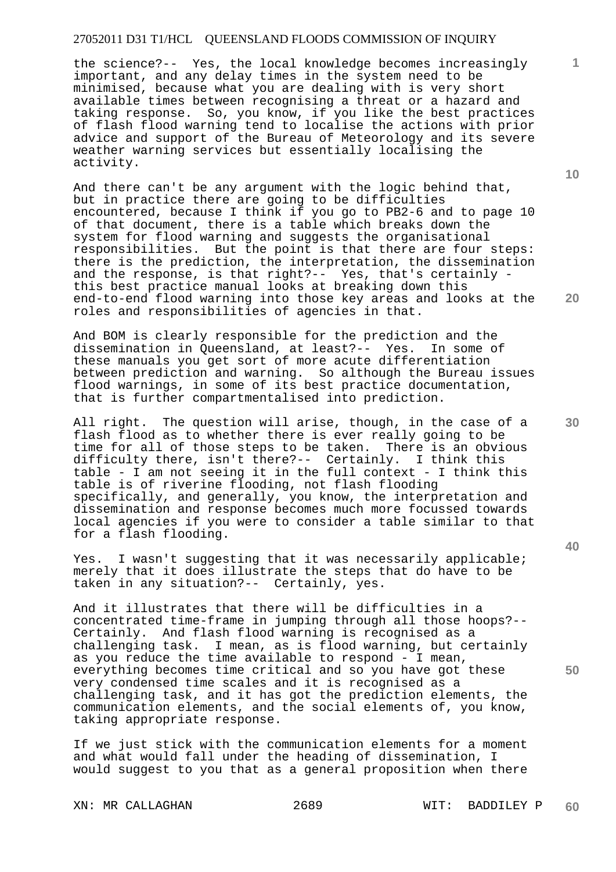the science?-- Yes, the local knowledge becomes increasingly important, and any delay times in the system need to be minimised, because what you are dealing with is very short available times between recognising a threat or a hazard and taking response. So, you know, if you like the best practices of flash flood warning tend to localise the actions with prior advice and support of the Bureau of Meteorology and its severe weather warning services but essentially localising the activity.

And there can't be any argument with the logic behind that, but in practice there are going to be difficulties encountered, because I think if you go to PB2-6 and to page 10 of that document, there is a table which breaks down the system for flood warning and suggests the organisational responsibilities. But the point is that there are four steps: there is the prediction, the interpretation, the dissemination and the response, is that right?-- Yes, that's certainly this best practice manual looks at breaking down this end-to-end flood warning into those key areas and looks at the roles and responsibilities of agencies in that.

And BOM is clearly responsible for the prediction and the dissemination in Queensland, at least?-- Yes. In some of these manuals you get sort of more acute differentiation between prediction and warning. So although the Bureau issues flood warnings, in some of its best practice documentation, that is further compartmentalised into prediction.

All right. The question will arise, though, in the case of a flash flood as to whether there is ever really going to be time for all of those steps to be taken. There is an obvious difficulty there, isn't there?-- Certainly. I think this table - I am not seeing it in the full context - I think this table is of riverine flooding, not flash flooding specifically, and generally, you know, the interpretation and dissemination and response becomes much more focussed towards local agencies if you were to consider a table similar to that for a flash flooding.

Yes. I wasn't suggesting that it was necessarily applicable; merely that it does illustrate the steps that do have to be taken in any situation?-- Certainly, yes.

And it illustrates that there will be difficulties in a concentrated time-frame in jumping through all those hoops?-- Certainly. And flash flood warning is recognised as a challenging task. I mean, as is flood warning, but certainly as you reduce the time available to respond - I mean, everything becomes time critical and so you have got these very condensed time scales and it is recognised as a challenging task, and it has got the prediction elements, the communication elements, and the social elements of, you know, taking appropriate response.

If we just stick with the communication elements for a moment and what would fall under the heading of dissemination, I would suggest to you that as a general proposition when there

XN: MR CALLAGHAN 2689 WIT: BADDILEY P

**10** 

**1**

**20** 

**30** 

**40**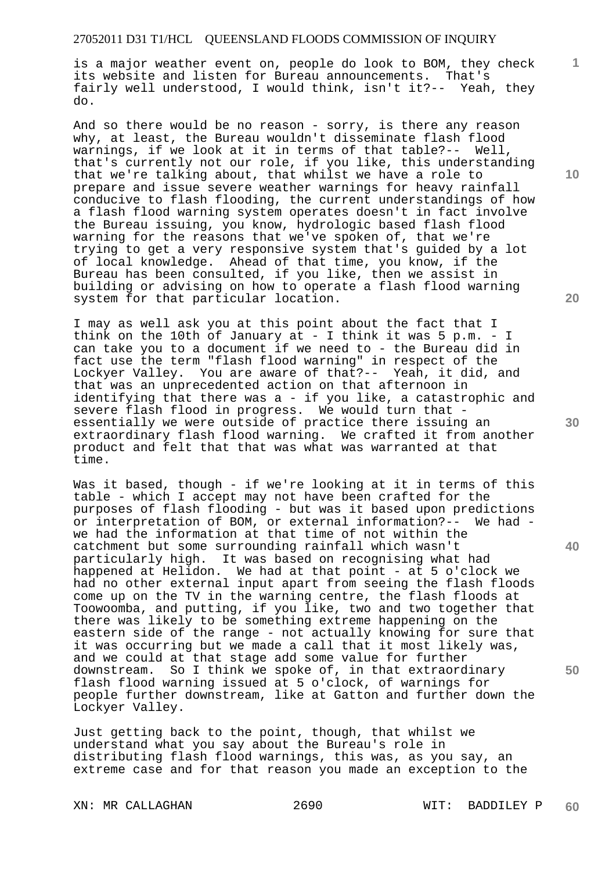is a major weather event on, people do look to BOM, they check its website and listen for Bureau announcements. That's fairly well understood, I would think, isn't it?-- Yeah, they do.

And so there would be no reason - sorry, is there any reason why, at least, the Bureau wouldn't disseminate flash flood warnings, if we look at it in terms of that table?-- Well, that's currently not our role, if you like, this understanding that we're talking about, that whilst we have a role to prepare and issue severe weather warnings for heavy rainfall conducive to flash flooding, the current understandings of how a flash flood warning system operates doesn't in fact involve the Bureau issuing, you know, hydrologic based flash flood warning for the reasons that we've spoken of, that we're trying to get a very responsive system that's guided by a lot of local knowledge. Ahead of that time, you know, if the Bureau has been consulted, if you like, then we assist in building or advising on how to operate a flash flood warning system for that particular location.

I may as well ask you at this point about the fact that I think on the 10th of January at - I think it was 5 p.m. - I can take you to a document if we need to - the Bureau did in fact use the term "flash flood warning" in respect of the Lockyer Valley. You are aware of that?-- Yeah, it did, and that was an unprecedented action on that afternoon in identifying that there was a - if you like, a catastrophic and severe flash flood in progress. We would turn that essentially we were outside of practice there issuing an extraordinary flash flood warning. We crafted it from another product and felt that that was what was warranted at that time.

Was it based, though - if we're looking at it in terms of this table - which I accept may not have been crafted for the purposes of flash flooding - but was it based upon predictions or interpretation of BOM, or external information?-- We had we had the information at that time of not within the catchment but some surrounding rainfall which wasn't particularly high. It was based on recognising what had happened at Helidon. We had at that point - at 5 o'clock we had no other external input apart from seeing the flash floods come up on the TV in the warning centre, the flash floods at Toowoomba, and putting, if you like, two and two together that there was likely to be something extreme happening on the eastern side of the range - not actually knowing for sure that it was occurring but we made a call that it most likely was, and we could at that stage add some value for further downstream. So I think we spoke of, in that extraordinary flash flood warning issued at 5 o'clock, of warnings for people further downstream, like at Gatton and further down the Lockyer Valley.

Just getting back to the point, though, that whilst we understand what you say about the Bureau's role in distributing flash flood warnings, this was, as you say, an extreme case and for that reason you made an exception to the

XN: MR CALLAGHAN 2690 WIT: BADDILEY P

**10** 

**1**

**20** 

**30** 

**40**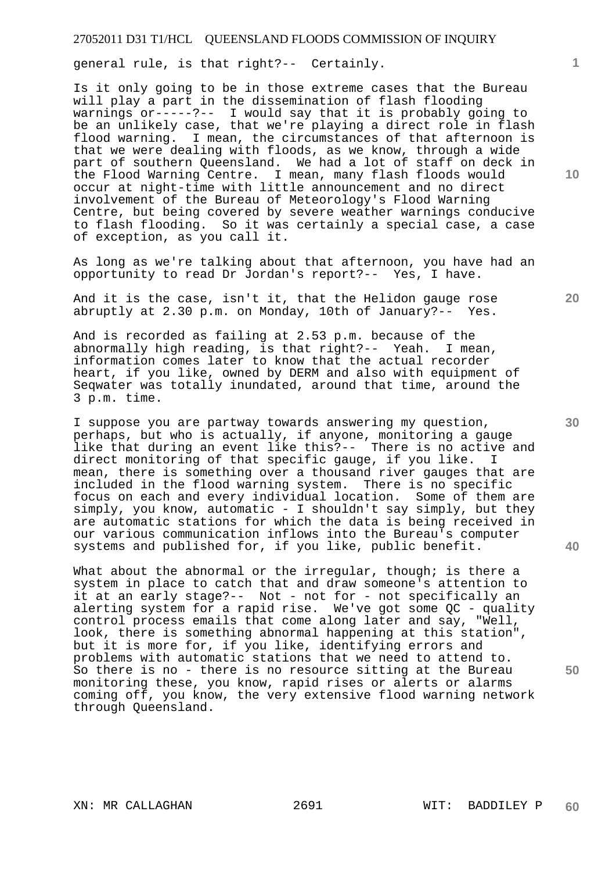general rule, is that right?-- Certainly.

Is it only going to be in those extreme cases that the Bureau will play a part in the dissemination of flash flooding warnings or-----?-- I would say that it is probably going to be an unlikely case, that we're playing a direct role in flash flood warning. I mean, the circumstances of that afternoon is that we were dealing with floods, as we know, through a wide part of southern Queensland. We had a lot of staff on deck in the Flood Warning Centre. I mean, many flash floods would occur at night-time with little announcement and no direct involvement of the Bureau of Meteorology's Flood Warning Centre, but being covered by severe weather warnings conducive to flash flooding. So it was certainly a special case, a case of exception, as you call it.

As long as we're talking about that afternoon, you have had an opportunity to read Dr Jordan's report?-- Yes, I have.

And it is the case, isn't it, that the Helidon gauge rose abruptly at 2.30 p.m. on Monday, 10th of January?-- Yes.

And is recorded as failing at 2.53 p.m. because of the abnormally high reading, is that right?-- Yeah. I mean, information comes later to know that the actual recorder heart, if you like, owned by DERM and also with equipment of Seqwater was totally inundated, around that time, around the 3 p.m. time.

I suppose you are partway towards answering my question, perhaps, but who is actually, if anyone, monitoring a gauge like that during an event like this?-- There is no active and direct monitoring of that specific gauge, if you like. I mean, there is something over a thousand river gauges that are included in the flood warning system. There is no specific focus on each and every individual location. Some of them are simply, you know, automatic - I shouldn't say simply, but they are automatic stations for which the data is being received in our various communication inflows into the Bureau's computer systems and published for, if you like, public benefit.

What about the abnormal or the irregular, though; is there a system in place to catch that and draw someone's attention to it at an early stage?-- Not - not for - not specifically an alerting system for a rapid rise. We've got some QC - quality control process emails that come along later and say, "Well, look, there is something abnormal happening at this station", but it is more for, if you like, identifying errors and problems with automatic stations that we need to attend to. So there is no - there is no resource sitting at the Bureau monitoring these, you know, rapid rises or alerts or alarms coming off, you know, the very extensive flood warning network through Queensland.

**10** 

**1**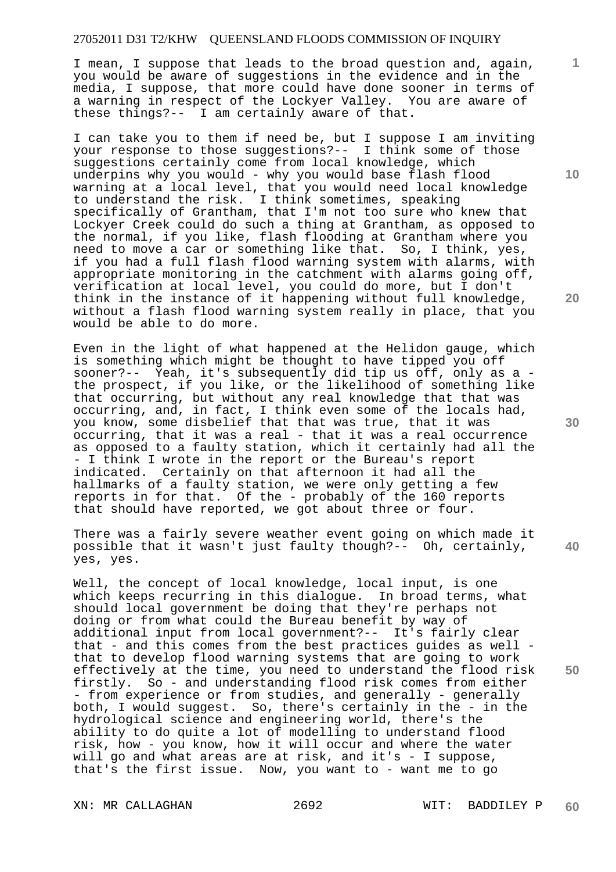I mean, I suppose that leads to the broad question and, again, you would be aware of suggestions in the evidence and in the media, I suppose, that more could have done sooner in terms of a warning in respect of the Lockyer Valley. You are aware of these things?-- I am certainly aware of that.

I can take you to them if need be, but I suppose I am inviting your response to those suggestions?-- I think some of those suggestions certainly come from local knowledge, which underpins why you would - why you would base flash flood warning at a local level, that you would need local knowledge to understand the risk. I think sometimes, speaking specifically of Grantham, that I'm not too sure who knew that Lockyer Creek could do such a thing at Grantham, as opposed to the normal, if you like, flash flooding at Grantham where you need to move a car or something like that. So, I think, yes, if you had a full flash flood warning system with alarms, with appropriate monitoring in the catchment with alarms going off, verification at local level, you could do more, but I don't think in the instance of it happening without full knowledge, without a flash flood warning system really in place, that you would be able to do more.

Even in the light of what happened at the Helidon gauge, which is something which might be thought to have tipped you off sooner?-- Yeah, it's subsequently did tip us off, only as a the prospect, if you like, or the likelihood of something like that occurring, but without any real knowledge that that was occurring, and, in fact, I think even some of the locals had, you know, some disbelief that that was true, that it was occurring, that it was a real - that it was a real occurrence as opposed to a faulty station, which it certainly had all the - I think I wrote in the report or the Bureau's report indicated. Certainly on that afternoon it had all the hallmarks of a faulty station, we were only getting a few reports in for that. Of the - probably of the 160 reports that should have reported, we got about three or four.

There was a fairly severe weather event going on which made it possible that it wasn't just faulty though?-- Oh, certainly, yes, yes.

Well, the concept of local knowledge, local input, is one which keeps recurring in this dialogue. In broad terms, what should local government be doing that they're perhaps not doing or from what could the Bureau benefit by way of additional input from local government?-- It's fairly clear that - and this comes from the best practices guides as well that to develop flood warning systems that are going to work effectively at the time, you need to understand the flood risk firstly. So - and understanding flood risk comes from either - from experience or from studies, and generally - generally both, I would suggest. So, there's certainly in the - in the hydrological science and engineering world, there's the ability to do quite a lot of modelling to understand flood risk, how - you know, how it will occur and where the water will go and what areas are at risk, and it's - I suppose, that's the first issue. Now, you want to - want me to go

**10** 

**1**

**20** 

**40**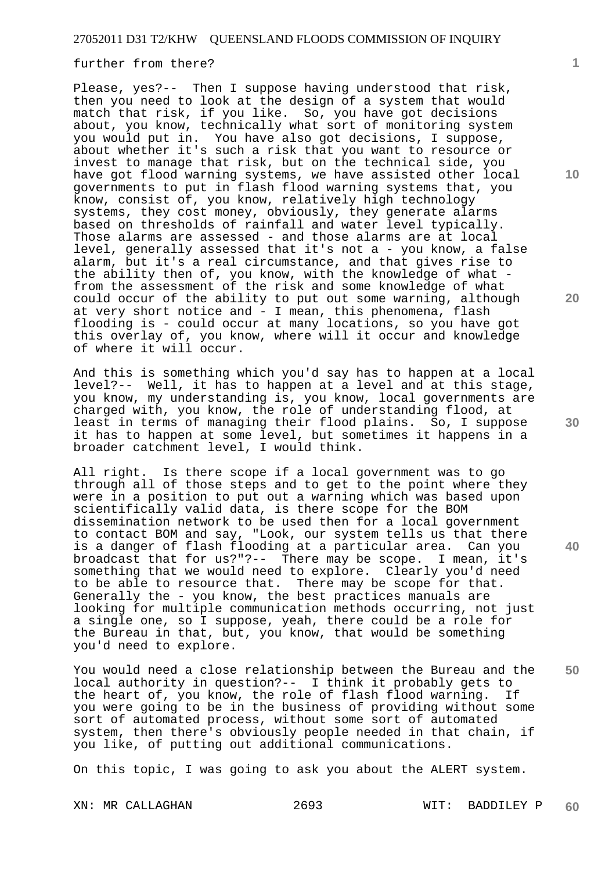#### further from there?

Please, yes?-- Then I suppose having understood that risk, then you need to look at the design of a system that would match that risk, if you like. So, you have got decisions about, you know, technically what sort of monitoring system you would put in. You have also got decisions, I suppose, about whether it's such a risk that you want to resource or invest to manage that risk, but on the technical side, you have got flood warning systems, we have assisted other local governments to put in flash flood warning systems that, you know, consist of, you know, relatively high technology systems, they cost money, obviously, they generate alarms based on thresholds of rainfall and water level typically. Those alarms are assessed - and those alarms are at local level, generally assessed that it's not a - you know, a false alarm, but it's a real circumstance, and that gives rise to the ability then of, you know, with the knowledge of what from the assessment of the risk and some knowledge of what could occur of the ability to put out some warning, although at very short notice and - I mean, this phenomena, flash flooding is - could occur at many locations, so you have got this overlay of, you know, where will it occur and knowledge of where it will occur.

And this is something which you'd say has to happen at a local level?-- Well, it has to happen at a level and at this stage, you know, my understanding is, you know, local governments are charged with, you know, the role of understanding flood, at least in terms of managing their flood plains. So, I suppose it has to happen at some level, but sometimes it happens in a broader catchment level, I would think.

All right. Is there scope if a local government was to go through all of those steps and to get to the point where they were in a position to put out a warning which was based upon scientifically valid data, is there scope for the BOM dissemination network to be used then for a local government to contact BOM and say, "Look, our system tells us that there is a danger of flash flooding at a particular area. Can you broadcast that for us?"?-- There may be scope. I mean, it's something that we would need to explore. Clearly you'd need to be able to resource that. There may be scope for that. Generally the - you know, the best practices manuals are looking for multiple communication methods occurring, not just a single one, so I suppose, yeah, there could be a role for the Bureau in that, but, you know, that would be something you'd need to explore.

You would need a close relationship between the Bureau and the local authority in question?-- I think it probably gets to the heart of, you know, the role of flash flood warning. If you were going to be in the business of providing without some sort of automated process, without some sort of automated system, then there's obviously people needed in that chain, if you like, of putting out additional communications.

On this topic, I was going to ask you about the ALERT system.

**1**

**20** 

**30** 

**40**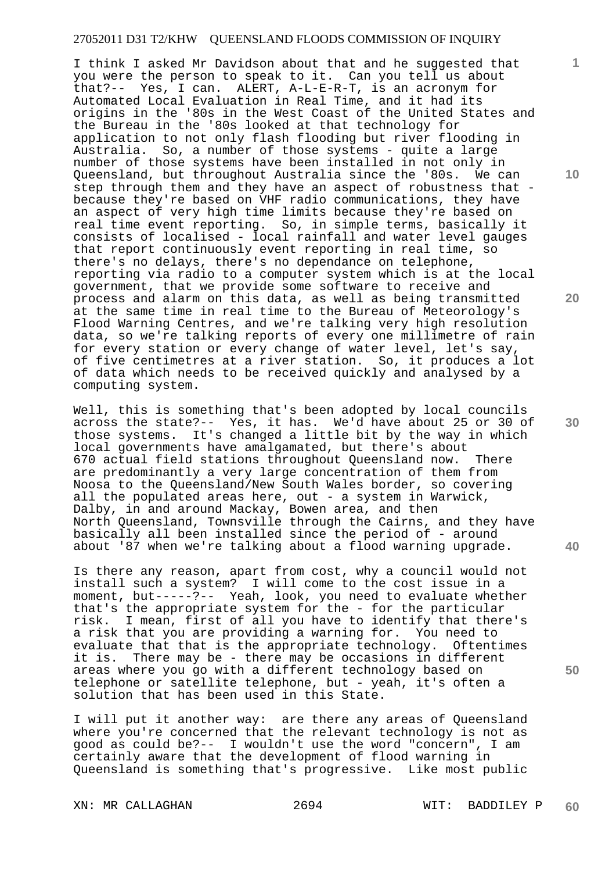I think I asked Mr Davidson about that and he suggested that you were the person to speak to it. Can you tell us about that?-- Yes, I can. ALERT, A-L-E-R-T, is an acronym for Automated Local Evaluation in Real Time, and it had its origins in the '80s in the West Coast of the United States and the Bureau in the '80s looked at that technology for application to not only flash flooding but river flooding in Australia. So, a number of those systems - quite a large number of those systems have been installed in not only in Queensland, but throughout Australia since the '80s. We can step through them and they have an aspect of robustness that because they're based on VHF radio communications, they have an aspect of very high time limits because they're based on real time event reporting. So, in simple terms, basically it consists of localised - local rainfall and water level gauges that report continuously event reporting in real time, so there's no delays, there's no dependance on telephone, reporting via radio to a computer system which is at the local government, that we provide some software to receive and process and alarm on this data, as well as being transmitted at the same time in real time to the Bureau of Meteorology's Flood Warning Centres, and we're talking very high resolution data, so we're talking reports of every one millimetre of rain for every station or every change of water level, let's say, of five centimetres at a river station. So, it produces a lot of data which needs to be received quickly and analysed by a computing system.

Well, this is something that's been adopted by local councils across the state?-- Yes, it has. We'd have about 25 or 30 of those systems. It's changed a little bit by the way in which local governments have amalgamated, but there's about 670 actual field stations throughout Queensland now. There are predominantly a very large concentration of them from Noosa to the Queensland/New South Wales border, so covering all the populated areas here, out - a system in Warwick, Dalby, in and around Mackay, Bowen area, and then North Queensland, Townsville through the Cairns, and they have basically all been installed since the period of - around about '87 when we're talking about a flood warning upgrade.

Is there any reason, apart from cost, why a council would not install such a system? I will come to the cost issue in a moment, but-----?-- Yeah, look, you need to evaluate whether that's the appropriate system for the - for the particular risk. I mean, first of all you have to identify that there's a risk that you are providing a warning for. You need to evaluate that that is the appropriate technology. Oftentimes it is. There may be - there may be occasions in different areas where you go with a different technology based on telephone or satellite telephone, but - yeah, it's often a solution that has been used in this State.

I will put it another way: are there any areas of Queensland where you're concerned that the relevant technology is not as good as could be?-- I wouldn't use the word "concern", I am certainly aware that the development of flood warning in Queensland is something that's progressive. Like most public

XN: MR CALLAGHAN 2694 WIT: BADDILEY P **60** 

**10** 

**1**

**20** 

**30** 

**40**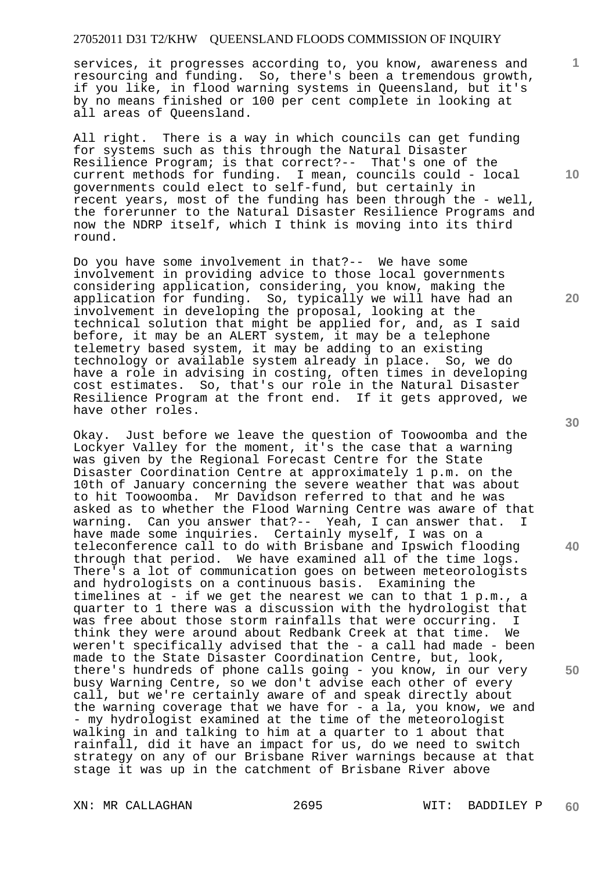services, it progresses according to, you know, awareness and resourcing and funding. So, there's been a tremendous growth, if you like, in flood warning systems in Queensland, but it's by no means finished or 100 per cent complete in looking at all areas of Queensland.

All right. There is a way in which councils can get funding for systems such as this through the Natural Disaster Resilience Program; is that correct?-- That's one of the current methods for funding. I mean, councils could - local governments could elect to self-fund, but certainly in recent years, most of the funding has been through the - well, the forerunner to the Natural Disaster Resilience Programs and now the NDRP itself, which I think is moving into its third round.

Do you have some involvement in that?-- We have some involvement in providing advice to those local governments considering application, considering, you know, making the application for funding. So, typically we will have had an involvement in developing the proposal, looking at the technical solution that might be applied for, and, as I said before, it may be an ALERT system, it may be a telephone telemetry based system, it may be adding to an existing technology or available system already in place. So, we do have a role in advising in costing, often times in developing cost estimates. So, that's our role in the Natural Disaster Resilience Program at the front end. If it gets approved, we have other roles.

Okay. Just before we leave the question of Toowoomba and the Lockyer Valley for the moment, it's the case that a warning was given by the Regional Forecast Centre for the State Disaster Coordination Centre at approximately 1 p.m. on the 10th of January concerning the severe weather that was about to hit Toowoomba. Mr Davidson referred to that and he was asked as to whether the Flood Warning Centre was aware of that warning. Can you answer that?-- Yeah, I can answer that. I have made some inquiries. Certainly myself, I was on a teleconference call to do with Brisbane and Ipswich flooding through that period. We have examined all of the time logs. There's a lot of communication goes on between meteorologists and hydrologists on a continuous basis. Examining the timelines at - if we get the nearest we can to that 1 p.m., a quarter to 1 there was a discussion with the hydrologist that was free about those storm rainfalls that were occurring. I think they were around about Redbank Creek at that time. We weren't specifically advised that the - a call had made - been made to the State Disaster Coordination Centre, but, look, there's hundreds of phone calls going - you know, in our very busy Warning Centre, so we don't advise each other of every call, but we're certainly aware of and speak directly about the warning coverage that we have for - a la, you know, we and - my hydrologist examined at the time of the meteorologist walking in and talking to him at a quarter to 1 about that rainfall, did it have an impact for us, do we need to switch strategy on any of our Brisbane River warnings because at that stage it was up in the catchment of Brisbane River above

XN: MR CALLAGHAN 2695 WIT: BADDILEY P

**10** 

**1**

**20** 

**30** 

**40**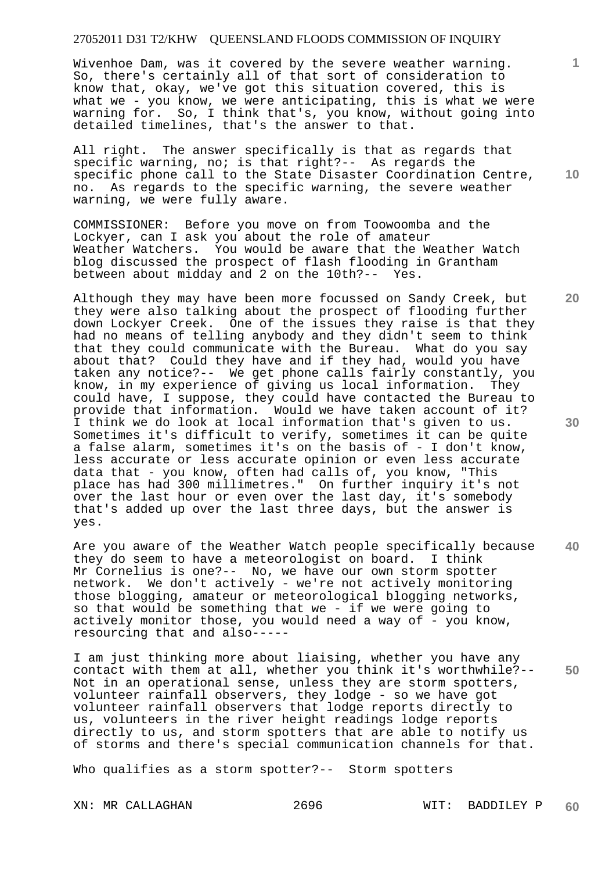Wivenhoe Dam, was it covered by the severe weather warning. So, there's certainly all of that sort of consideration to know that, okay, we've got this situation covered, this is what we - you know, we were anticipating, this is what we were warning for. So, I think that's, you know, without going into detailed timelines, that's the answer to that.

All right. The answer specifically is that as regards that specific warning, no; is that right?-- As regards the specific phone call to the State Disaster Coordination Centre, no. As regards to the specific warning, the severe weather warning, we were fully aware.

COMMISSIONER: Before you move on from Toowoomba and the Lockyer, can I ask you about the role of amateur Weather Watchers. You would be aware that the Weather Watch blog discussed the prospect of flash flooding in Grantham between about midday and 2 on the 10th?-- Yes.

Although they may have been more focussed on Sandy Creek, but they were also talking about the prospect of flooding further down Lockyer Creek. One of the issues they raise is that they had no means of telling anybody and they didn't seem to think that they could communicate with the Bureau. What do you say about that? Could they have and if they had, would you have taken any notice?-- We get phone calls fairly constantly, you know, in my experience of giving us local information. They could have, I suppose, they could have contacted the Bureau to provide that information. Would we have taken account of it? I think we do look at local information that's given to us. Sometimes it's difficult to verify, sometimes it can be quite a false alarm, sometimes it's on the basis of - I don't know, less accurate or less accurate opinion or even less accurate data that - you know, often had calls of, you know, "This place has had 300 millimetres." On further inquiry it's not over the last hour or even over the last day, it's somebody that's added up over the last three days, but the answer is yes.

**40**  Are you aware of the Weather Watch people specifically because<br>they do seem to have a meteorologist on board. I think they do seem to have a meteorologist on board. Mr Cornelius is one?-- No, we have our own storm spotter network. We don't actively - we're not actively monitoring those blogging, amateur or meteorological blogging networks, so that would be something that we - if we were going to actively monitor those, you would need a way of  $\overline{z}$  you know, resourcing that and also-----

**50**  I am just thinking more about liaising, whether you have any contact with them at all, whether you think it's worthwhile?-- Not in an operational sense, unless they are storm spotters, volunteer rainfall observers, they lodge - so we have got volunteer rainfall observers that lodge reports directly to us, volunteers in the river height readings lodge reports directly to us, and storm spotters that are able to notify us of storms and there's special communication channels for that.

Who qualifies as a storm spotter?-- Storm spotters

XN: MR CALLAGHAN 2696 WIT: BADDILEY P **60** 

**30** 

**1**

**10**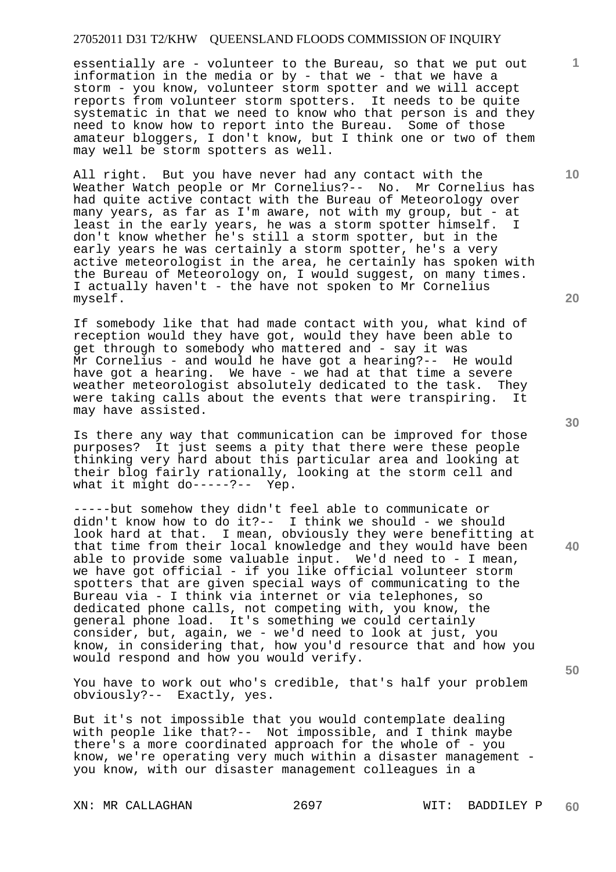essentially are - volunteer to the Bureau, so that we put out information in the media or by - that we - that we have a storm - you know, volunteer storm spotter and we will accept reports from volunteer storm spotters. It needs to be quite systematic in that we need to know who that person is and they need to know how to report into the Bureau. Some of those amateur bloggers, I don't know, but I think one or two of them may well be storm spotters as well.

All right. But you have never had any contact with the Weather Watch people or Mr Cornelius?-- No. Mr Cornelius has had quite active contact with the Bureau of Meteorology over many years, as far as I'm aware, not with my group, but - at least in the early years, he was a storm spotter himself. I don't know whether he's still a storm spotter, but in the early years he was certainly a storm spotter, he's a very active meteorologist in the area, he certainly has spoken with the Bureau of Meteorology on, I would suggest, on many times. I actually haven't - the have not spoken to Mr Cornelius myself.

If somebody like that had made contact with you, what kind of reception would they have got, would they have been able to get through to somebody who mattered and - say it was Mr Cornelius - and would he have got a hearing?-- He would have got a hearing. We have - we had at that time a severe weather meteorologist absolutely dedicated to the task. They were taking calls about the events that were transpiring. It may have assisted.

Is there any way that communication can be improved for those purposes? It just seems a pity that there were these people thinking very hard about this particular area and looking at their blog fairly rationally, looking at the storm cell and what it might do-----?-- Yep.

-----but somehow they didn't feel able to communicate or didn't know how to do it?-- I think we should - we should look hard at that. I mean, obviously they were benefitting at that time from their local knowledge and they would have been able to provide some valuable input. We'd need to - I mean, we have got official - if you like official volunteer storm spotters that are given special ways of communicating to the Bureau via - I think via internet or via telephones, so dedicated phone calls, not competing with, you know, the general phone load. It's something we could certainly consider, but, again, we - we'd need to look at just, you know, in considering that, how you'd resource that and how you would respond and how you would verify.

You have to work out who's credible, that's half your problem obviously?-- Exactly, yes.

But it's not impossible that you would contemplate dealing with people like that?-- Not impossible, and I think maybe there's a more coordinated approach for the whole of - you know, we're operating very much within a disaster management you know, with our disaster management colleagues in a

XN: MR CALLAGHAN 2697 WIT: BADDILEY P

**20** 

**1**

**10** 

**30** 

**50**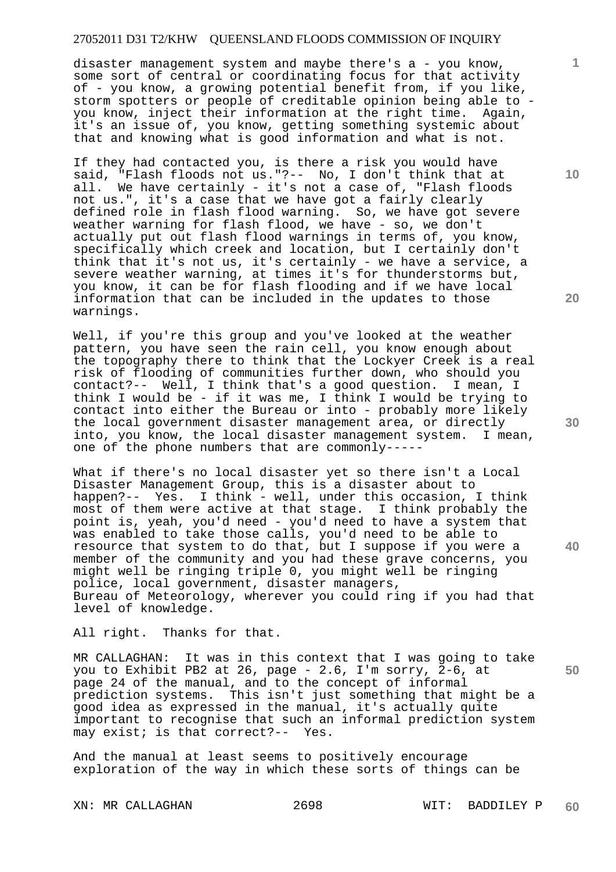disaster management system and maybe there's a - you know, some sort of central or coordinating focus for that activity of - you know, a growing potential benefit from, if you like, storm spotters or people of creditable opinion being able to you know, inject their information at the right time. Again, it's an issue of, you know, getting something systemic about that and knowing what is good information and what is not.

If they had contacted you, is there a risk you would have said, "Flash floods not us."?-- No, I don't think that at all. We have certainly - it's not a case of, "Flash floods not us.", it's a case that we have got a fairly clearly defined role in flash flood warning. So, we have got severe weather warning for flash flood, we have - so, we don't actually put out flash flood warnings in terms of, you know, specifically which creek and location, but I certainly don't think that it's not us, it's certainly - we have a service, a severe weather warning, at times it's for thunderstorms but, you know, it can be for flash flooding and if we have local information that can be included in the updates to those warnings.

Well, if you're this group and you've looked at the weather pattern, you have seen the rain cell, you know enough about the topography there to think that the Lockyer Creek is a real risk of flooding of communities further down, who should you contact?-- Well, I think that's a good question. I mean, I think I would be - if it was me, I think I would be trying to contact into either the Bureau or into - probably more likely the local government disaster management area, or directly into, you know, the local disaster management system. I mean, one of the phone numbers that are commonly-----

What if there's no local disaster yet so there isn't a Local Disaster Management Group, this is a disaster about to happen?-- Yes. I think - well, under this occasion, I think most of them were active at that stage. I think probably the point is, yeah, you'd need - you'd need to have a system that was enabled to take those calls, you'd need to be able to resource that system to do that, but I suppose if you were a member of the community and you had these grave concerns, you might well be ringing triple 0, you might well be ringing police, local government, disaster managers, Bureau of Meteorology, wherever you could ring if you had that level of knowledge.

All right. Thanks for that.

MR CALLAGHAN: It was in this context that I was going to take you to Exhibit PB2 at 26, page - 2.6, I'm sorry, 2-6, at page 24 of the manual, and to the concept of informal prediction systems. This isn't just something that might be a good idea as expressed in the manual, it's actually quite important to recognise that such an informal prediction system may exist; is that correct?-- Yes.

And the manual at least seems to positively encourage exploration of the way in which these sorts of things can be

**10** 

**1**

**20** 

**30** 

**50**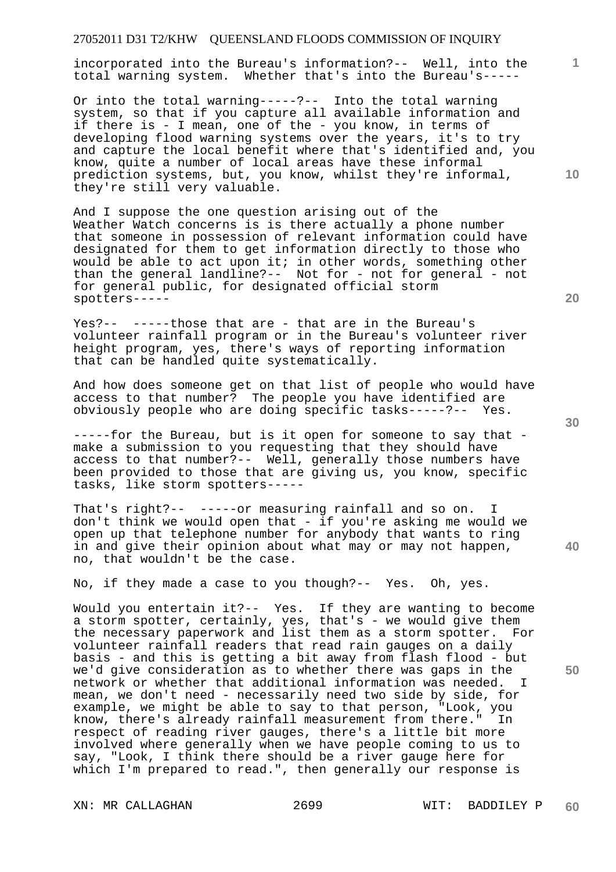incorporated into the Bureau's information?-- Well, into the total warning system. Whether that's into the Bureau's-----

Or into the total warning-----?-- Into the total warning system, so that if you capture all available information and if there is - I mean, one of the - you know, in terms of developing flood warning systems over the years, it's to try and capture the local benefit where that's identified and, you know, quite a number of local areas have these informal prediction systems, but, you know, whilst they're informal, they're still very valuable.

And I suppose the one question arising out of the Weather Watch concerns is is there actually a phone number that someone in possession of relevant information could have designated for them to get information directly to those who would be able to act upon it; in other words, something other than the general landline?-- Not for - not for general - not for general public, for designated official storm spotters-----

Yes?-- -----those that are - that are in the Bureau's volunteer rainfall program or in the Bureau's volunteer river height program, yes, there's ways of reporting information that can be handled quite systematically.

And how does someone get on that list of people who would have access to that number? The people you have identified are obviously people who are doing specific tasks-----?-- Yes.

-----for the Bureau, but is it open for someone to say that make a submission to you requesting that they should have access to that number?-- Well, generally those numbers have been provided to those that are giving us, you know, specific tasks, like storm spotters-----

That's right?-- -----or measuring rainfall and so on. I don't think we would open that - if you're asking me would we open up that telephone number for anybody that wants to ring in and give their opinion about what may or may not happen, no, that wouldn't be the case.

No, if they made a case to you though?-- Yes. Oh, yes.

Would you entertain it?-- Yes. If they are wanting to become a storm spotter, certainly, yes, that's - we would give them the necessary paperwork and list them as a storm spotter. For volunteer rainfall readers that read rain gauges on a daily basis - and this is getting a bit away from flash flood - but we'd give consideration as to whether there was gaps in the network or whether that additional information was needed. I mean, we don't need - necessarily need two side by side, for example, we might be able to say to that person, "Look, you know, there's already rainfall measurement from there." In respect of reading river gauges, there's a little bit more involved where generally when we have people coming to us to say, "Look, I think there should be a river gauge here for which I'm prepared to read.", then generally our response is

XN: MR CALLAGHAN 2699 WIT: BADDILEY P

**20** 

**40** 

**50** 

**10**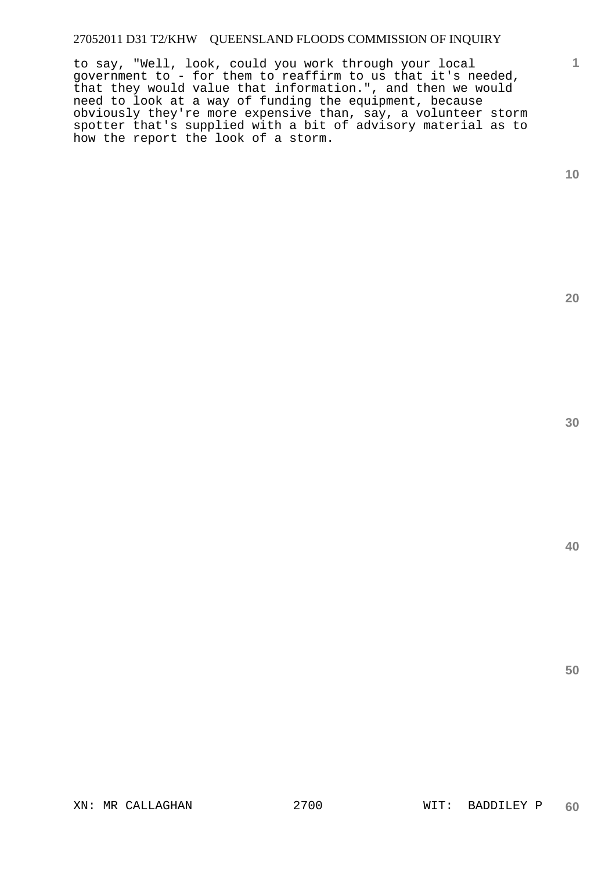to say, "Well, look, could you work through your local government to - for them to reaffirm to us that it's needed, that they would value that information.", and then we would need to look at a way of funding the equipment, because obviously they're more expensive than, say, a volunteer storm spotter that's supplied with a bit of advisory material as to how the report the look of a storm.

**10** 

**1**

**20** 

**30**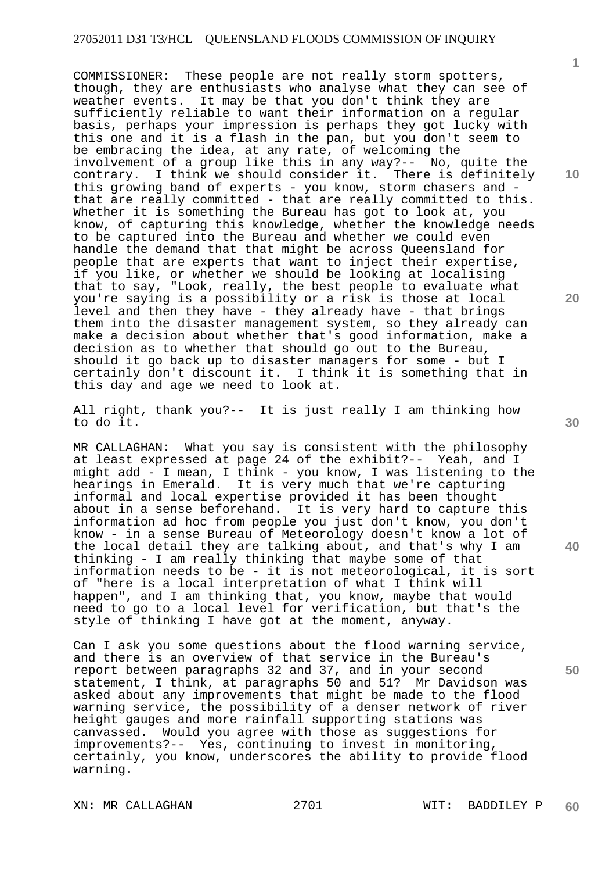COMMISSIONER: These people are not really storm spotters, though, they are enthusiasts who analyse what they can see of weather events. It may be that you don't think they are sufficiently reliable to want their information on a regular basis, perhaps your impression is perhaps they got lucky with this one and it is a flash in the pan, but you don't seem to be embracing the idea, at any rate, of welcoming the involvement of a group like this in any way?-- No, quite the contrary. I think we should consider it. There is definitely this growing band of experts - you know, storm chasers and that are really committed - that are really committed to this. Whether it is something the Bureau has got to look at, you know, of capturing this knowledge, whether the knowledge needs to be captured into the Bureau and whether we could even handle the demand that that might be across Queensland for people that are experts that want to inject their expertise, if you like, or whether we should be looking at localising that to say, "Look, really, the best people to evaluate what you're saying is a possibility or a risk is those at local level and then they have - they already have - that brings them into the disaster management system, so they already can make a decision about whether that's good information, make a decision as to whether that should go out to the Bureau, should it go back up to disaster managers for some - but I certainly don't discount it. I think it is something that in this day and age we need to look at.

All right, thank you?-- It is just really I am thinking how to do it.

MR CALLAGHAN: What you say is consistent with the philosophy at least expressed at page 24 of the exhibit?-- Yeah, and I might add - I mean, I think - you know, I was listening to the hearings in Emerald. It is very much that we're capturing informal and local expertise provided it has been thought about in a sense beforehand. It is very hard to capture this information ad hoc from people you just don't know, you don't know - in a sense Bureau of Meteorology doesn't know a lot of the local detail they are talking about, and that's why I am thinking - I am really thinking that maybe some of that information needs to be - it is not meteorological, it is sort of "here is a local interpretation of what I think will happen", and I am thinking that, you know, maybe that would need to go to a local level for verification, but that's the style of thinking I have got at the moment, anyway.

Can I ask you some questions about the flood warning service, and there is an overview of that service in the Bureau's report between paragraphs 32 and 37, and in your second statement, I think, at paragraphs 50 and 51? Mr Davidson was asked about any improvements that might be made to the flood warning service, the possibility of a denser network of river height gauges and more rainfall supporting stations was canvassed. Would you agree with those as suggestions for improvements?-- Yes, continuing to invest in monitoring, certainly, you know, underscores the ability to provide flood warning.

XN: MR CALLAGHAN 2701 WIT: BADDILEY P

**10** 

**1**

**20** 

**30** 

**40**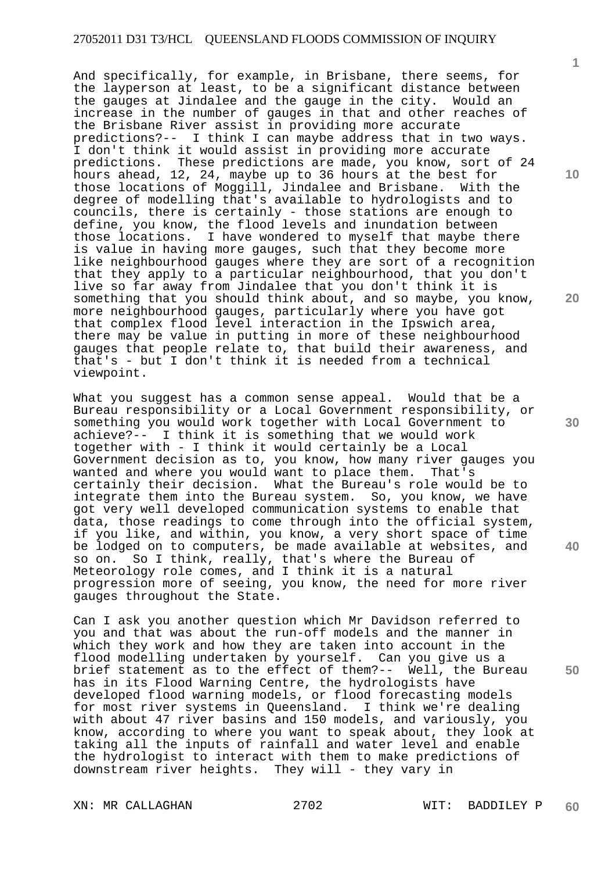And specifically, for example, in Brisbane, there seems, for the layperson at least, to be a significant distance between the gauges at Jindalee and the gauge in the city. Would an increase in the number of gauges in that and other reaches of the Brisbane River assist in providing more accurate predictions?-- I think I can maybe address that in two ways. I don't think it would assist in providing more accurate predictions. These predictions are made, you know, sort of 24 hours ahead, 12, 24, maybe up to 36 hours at the best for those locations of Moggill, Jindalee and Brisbane. With the degree of modelling that's available to hydrologists and to councils, there is certainly - those stations are enough to define, you know, the flood levels and inundation between those locations. I have wondered to myself that maybe there is value in having more gauges, such that they become more like neighbourhood gauges where they are sort of a recognition that they apply to a particular neighbourhood, that you don't live so far away from Jindalee that you don't think it is something that you should think about, and so maybe, you know, more neighbourhood gauges, particularly where you have got that complex flood level interaction in the Ipswich area, there may be value in putting in more of these neighbourhood gauges that people relate to, that build their awareness, and that's - but I don't think it is needed from a technical viewpoint.

What you suggest has a common sense appeal. Would that be a Bureau responsibility or a Local Government responsibility, or something you would work together with Local Government to achieve?-- I think it is something that we would work together with - I think it would certainly be a Local Government decision as to, you know, how many river gauges you wanted and where you would want to place them. That's certainly their decision. What the Bureau's role would be to integrate them into the Bureau system. So, you know, we have got very well developed communication systems to enable that data, those readings to come through into the official system, if you like, and within, you know, a very short space of time be lodged on to computers, be made available at websites, and so on. So I think, really, that's where the Bureau of So I think, really, that's where the Bureau of Meteorology role comes, and I think it is a natural progression more of seeing, you know, the need for more river gauges throughout the State.

Can I ask you another question which Mr Davidson referred to you and that was about the run-off models and the manner in which they work and how they are taken into account in the flood modelling undertaken by yourself. Can you give us a brief statement as to the effect of them?-- Well, the Bureau has in its Flood Warning Centre, the hydrologists have developed flood warning models, or flood forecasting models for most river systems in Queensland. I think we're dealing with about 47 river basins and 150 models, and variously, you know, according to where you want to speak about, they look at taking all the inputs of rainfall and water level and enable the hydrologist to interact with them to make predictions of downstream river heights. They will - they vary in

XN: MR CALLAGHAN 2702 WIT: BADDILEY P

**10** 

**1**

**20** 

**40** 

**50**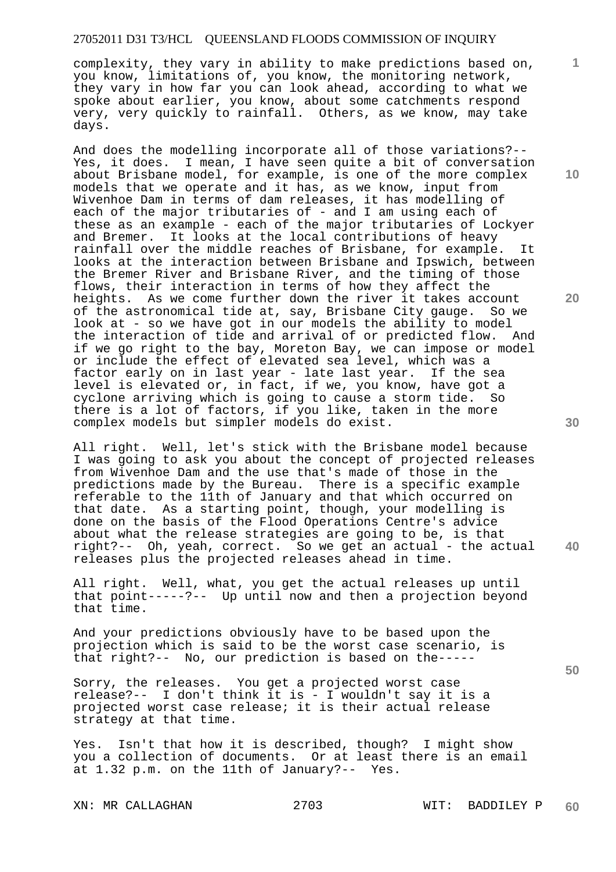complexity, they vary in ability to make predictions based on, you know, limitations of, you know, the monitoring network, they vary in how far you can look ahead, according to what we spoke about earlier, you know, about some catchments respond very, very quickly to rainfall. Others, as we know, may take days.

And does the modelling incorporate all of those variations?-- Yes, it does. I mean, I have seen quite a bit of conversation about Brisbane model, for example, is one of the more complex models that we operate and it has, as we know, input from Wivenhoe Dam in terms of dam releases, it has modelling of each of the major tributaries of - and I am using each of these as an example - each of the major tributaries of Lockyer and Bremer. It looks at the local contributions of heavy rainfall over the middle reaches of Brisbane, for example. It looks at the interaction between Brisbane and Ipswich, between the Bremer River and Brisbane River, and the timing of those flows, their interaction in terms of how they affect the heights. As we come further down the river it takes account of the astronomical tide at, say, Brisbane City gauge. So we look at - so we have got in our models the ability to model the interaction of tide and arrival of or predicted flow. And if we go right to the bay, Moreton Bay, we can impose or model or include the effect of elevated sea level, which was a factor early on in last year - late last year. If the sea level is elevated or, in fact, if we, you know, have got a cyclone arriving which is going to cause a storm tide. So there is a lot of factors, if you like, taken in the more complex models but simpler models do exist.

All right. Well, let's stick with the Brisbane model because I was going to ask you about the concept of projected releases from Wivenhoe Dam and the use that's made of those in the predictions made by the Bureau. There is a specific example referable to the 11th of January and that which occurred on that date. As a starting point, though, your modelling is done on the basis of the Flood Operations Centre's advice about what the release strategies are going to be, is that right?-- Oh, yeah, correct. So we get an actual - the actual releases plus the projected releases ahead in time.

All right. Well, what, you get the actual releases up until that point-----?-- Up until now and then a projection beyond that time.

And your predictions obviously have to be based upon the projection which is said to be the worst case scenario, is that right?-- No, our prediction is based on the-----

Sorry, the releases. You get a projected worst case release?-- I don't think it is - I wouldn't say it is a projected worst case release; it is their actual release strategy at that time.

Yes. Isn't that how it is described, though? I might show you a collection of documents. Or at least there is an email at 1.32 p.m. on the 11th of January?-- Yes.

XN: MR CALLAGHAN 2703 WIT: BADDILEY P

**10** 

**1**

**20** 

**30** 

**50**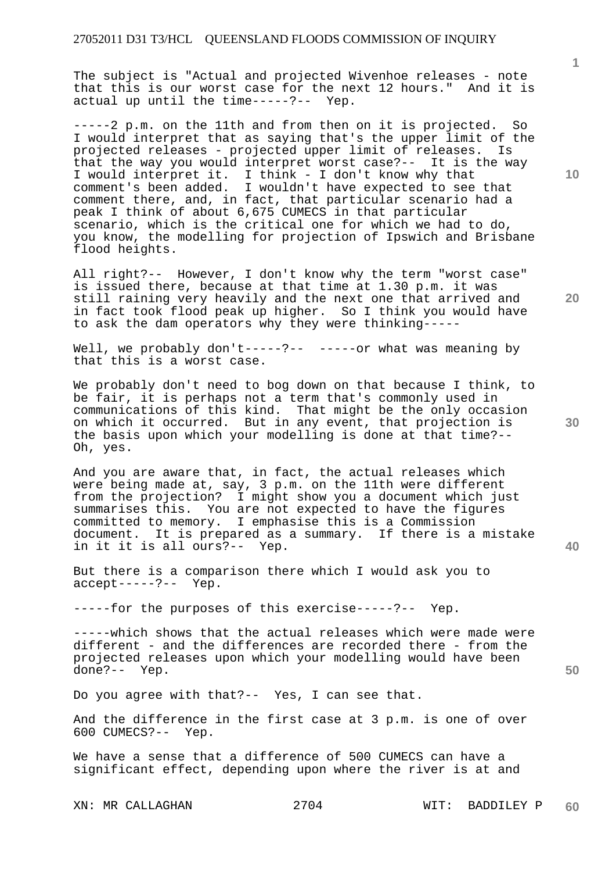The subject is "Actual and projected Wivenhoe releases - note that this is our worst case for the next 12 hours." And it is actual up until the time-----?-- Yep.

-----2 p.m. on the 11th and from then on it is projected. So I would interpret that as saying that's the upper limit of the projected releases - projected upper limit of releases. Is that the way you would interpret worst case?-- It is the way I would interpret it. I think - I don't know why that comment's been added. I wouldn't have expected to see that comment there, and, in fact, that particular scenario had a peak I think of about 6,675 CUMECS in that particular scenario, which is the critical one for which we had to do, you know, the modelling for projection of Ipswich and Brisbane flood heights.

All right?-- However, I don't know why the term "worst case" is issued there, because at that time at 1.30 p.m. it was still raining very heavily and the next one that arrived and in fact took flood peak up higher. So I think you would have to ask the dam operators why they were thinking-----

Well, we probably don't-----?-- -----or what was meaning by that this is a worst case.

We probably don't need to bog down on that because I think, to be fair, it is perhaps not a term that's commonly used in communications of this kind. That might be the only occasion on which it occurred. But in any event, that projection is the basis upon which your modelling is done at that time?-- Oh, yes.

And you are aware that, in fact, the actual releases which were being made at, say, 3 p.m. on the 11th were different from the projection? I might show you a document which just summarises this. You are not expected to have the figures committed to memory. I emphasise this is a Commission document. It is prepared as a summary. If there is a mistake in it it is all ours?-- Yep.

But there is a comparison there which I would ask you to accept-----?-- Yep.

-----for the purposes of this exercise-----?-- Yep.

-----which shows that the actual releases which were made were different - and the differences are recorded there - from the projected releases upon which your modelling would have been done?-- Yep.

Do you agree with that?-- Yes, I can see that.

And the difference in the first case at 3 p.m. is one of over 600 CUMECS?-- Yep.

We have a sense that a difference of 500 CUMECS can have a significant effect, depending upon where the river is at and

XN: MR CALLAGHAN 2704 WIT: BADDILEY P

**10** 

**1**

**20** 

**30**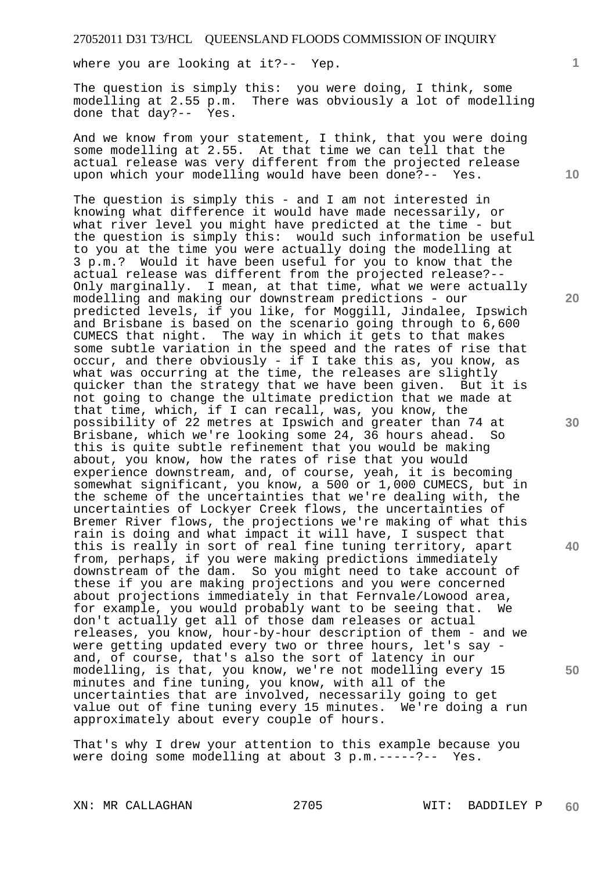where you are looking at it?-- Yep.

The question is simply this: you were doing, I think, some modelling at 2.55 p.m. There was obviously a lot of modelling done that day?-- Yes.

And we know from your statement, I think, that you were doing some modelling at 2.55. At that time we can tell that the actual release was very different from the projected release upon which your modelling would have been done?-- Yes.

The question is simply this - and I am not interested in knowing what difference it would have made necessarily, or what river level you might have predicted at the time - but the question is simply this: would such information be useful to you at the time you were actually doing the modelling at 3 p.m.? Would it have been useful for you to know that the actual release was different from the projected release?-- Only marginally. I mean, at that time, what we were actually modelling and making our downstream predictions - our predicted levels, if you like, for Moggill, Jindalee, Ipswich and Brisbane is based on the scenario going through to 6,600 CUMECS that night. The way in which it gets to that makes some subtle variation in the speed and the rates of rise that occur, and there obviously - if I take this as, you know, as what was occurring at the time, the releases are slightly quicker than the strategy that we have been given. But it is not going to change the ultimate prediction that we made at that time, which, if I can recall, was, you know, the possibility of 22 metres at Ipswich and greater than 74 at Brisbane, which we're looking some 24, 36 hours ahead. So this is quite subtle refinement that you would be making about, you know, how the rates of rise that you would experience downstream, and, of course, yeah, it is becoming somewhat significant, you know, a 500 or 1,000 CUMECS, but in the scheme of the uncertainties that we're dealing with, the uncertainties of Lockyer Creek flows, the uncertainties of Bremer River flows, the projections we're making of what this rain is doing and what impact it will have, I suspect that this is really in sort of real fine tuning territory, apart from, perhaps, if you were making predictions immediately downstream of the dam. So you might need to take account of these if you are making projections and you were concerned about projections immediately in that Fernvale/Lowood area, for example, you would probably want to be seeing that. We don't actually get all of those dam releases or actual releases, you know, hour-by-hour description of them - and we were getting updated every two or three hours, let's say and, of course, that's also the sort of latency in our modelling, is that, you know, we're not modelling every 15 minutes and fine tuning, you know, with all of the uncertainties that are involved, necessarily going to get value out of fine tuning every 15 minutes. We're doing a run approximately about every couple of hours.

That's why I drew your attention to this example because you were doing some modelling at about 3 p.m.-----?-- Yes.

**1**

**10** 

**20** 

**30** 

**40**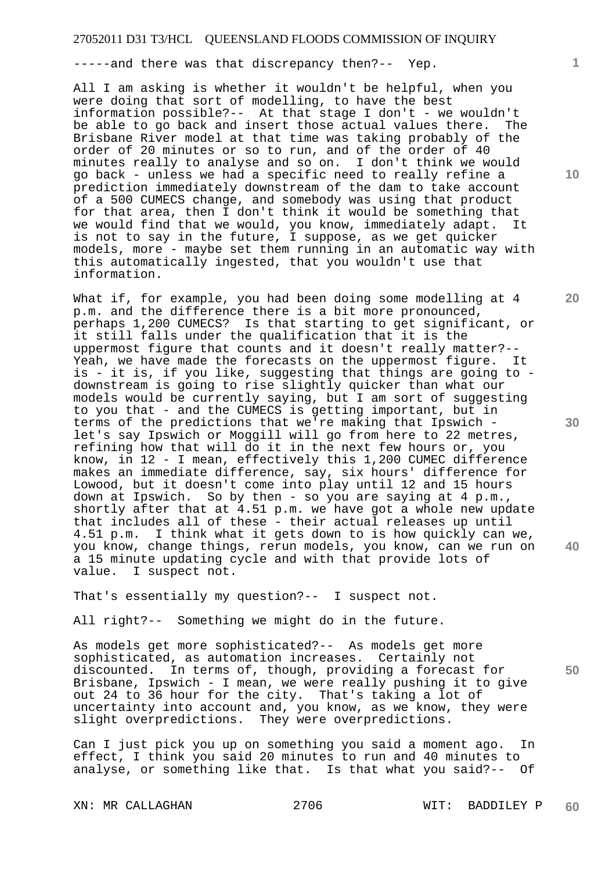-----and there was that discrepancy then?-- Yep.

All I am asking is whether it wouldn't be helpful, when you were doing that sort of modelling, to have the best information possible?-- At that stage I don't - we wouldn't be able to go back and insert those actual values there. The Brisbane River model at that time was taking probably of the order of 20 minutes or so to run, and of the order of 40 minutes really to analyse and so on. I don't think we would go back - unless we had a specific need to really refine a prediction immediately downstream of the dam to take account of a 500 CUMECS change, and somebody was using that product for that area, then I don't think it would be something that we would find that we would, you know, immediately adapt. It is not to say in the future, I suppose, as we get quicker models, more - maybe set them running in an automatic way with this automatically ingested, that you wouldn't use that information.

What if, for example, you had been doing some modelling at 4 p.m. and the difference there is a bit more pronounced, perhaps 1,200 CUMECS? Is that starting to get significant, or it still falls under the qualification that it is the uppermost figure that counts and it doesn't really matter?-- Yeah, we have made the forecasts on the uppermost figure. It is - it is, if you like, suggesting that things are going to downstream is going to rise slightly quicker than what our models would be currently saying, but I am sort of suggesting to you that - and the CUMECS is getting important, but in terms of the predictions that we're making that Ipswich let's say Ipswich or Moggill will go from here to 22 metres, refining how that will do it in the next few hours or, you know, in 12 - I mean, effectively this 1,200 CUMEC difference makes an immediate difference, say, six hours' difference for Lowood, but it doesn't come into play until 12 and 15 hours down at Ipswich. So by then - so you are saying at 4 p.m., shortly after that at 4.51 p.m. we have got a whole new update that includes all of these - their actual releases up until 4.51 p.m. I think what it gets down to is how quickly can we, you know, change things, rerun models, you know, can we run on a 15 minute updating cycle and with that provide lots of value. I suspect not.

That's essentially my question?-- I suspect not.

All right?-- Something we might do in the future.

**50**  As models get more sophisticated?-- As models get more sophisticated, as automation increases. Certainly not discounted. In terms of, though, providing a forecast for Brisbane, Ipswich - I mean, we were really pushing it to give out 24 to 36 hour for the city. That's taking a lot of uncertainty into account and, you know, as we know, they were slight overpredictions. They were overpredictions.

Can I just pick you up on something you said a moment ago. In effect, I think you said 20 minutes to run and 40 minutes to analyse, or something like that. Is that what you said?-- Of

XN: MR CALLAGHAN 2706 WIT: BADDILEY P **60** 

**10** 

**1**

**20** 

**30**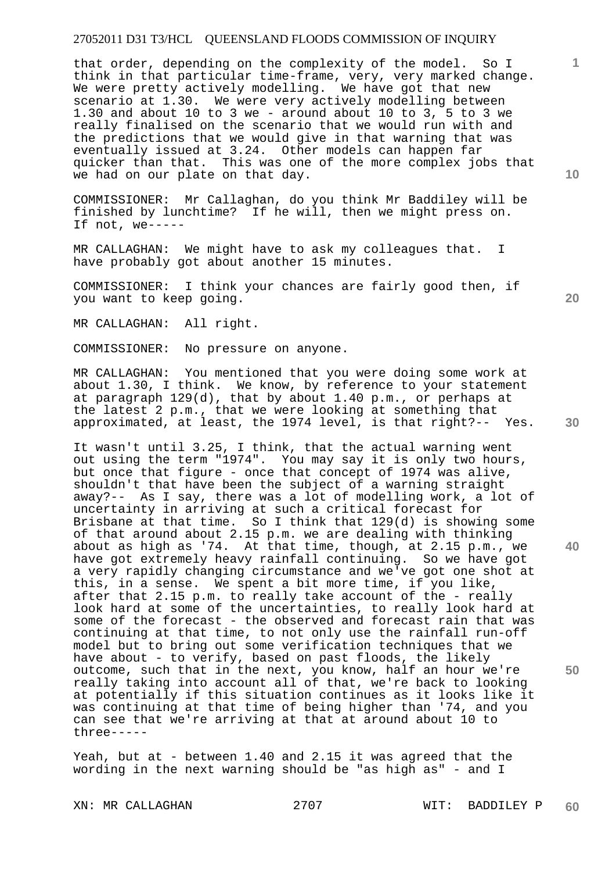that order, depending on the complexity of the model. So I think in that particular time-frame, very, very marked change. We were pretty actively modelling. We have got that new scenario at 1.30. We were very actively modelling between 1.30 and about 10 to 3 we - around about 10 to 3, 5 to 3 we really finalised on the scenario that we would run with and the predictions that we would give in that warning that was eventually issued at 3.24. Other models can happen far quicker than that. This was one of the more complex jobs that we had on our plate on that day.

COMMISSIONER: Mr Callaghan, do you think Mr Baddiley will be finished by lunchtime? If he will, then we might press on. If not, we-----

MR CALLAGHAN: We might have to ask my colleagues that. I have probably got about another 15 minutes.

COMMISSIONER: I think your chances are fairly good then, if you want to keep going.

MR CALLAGHAN: All right.

COMMISSIONER: No pressure on anyone.

MR CALLAGHAN: You mentioned that you were doing some work at about 1.30, I think. We know, by reference to your statement at paragraph 129(d), that by about 1.40 p.m., or perhaps at the latest 2 p.m., that we were looking at something that approximated, at least, the 1974 level, is that right?-- Yes.

It wasn't until 3.25, I think, that the actual warning went out using the term "1974". You may say it is only two hours, but once that figure - once that concept of 1974 was alive, shouldn't that have been the subject of a warning straight away?-- As I say, there was a lot of modelling work, a lot of uncertainty in arriving at such a critical forecast for Brisbane at that time. So I think that 129(d) is showing some of that around about 2.15 p.m. we are dealing with thinking about as high as '74. At that time, though, at 2.15 p.m., we have got extremely heavy rainfall continuing. So we have got a very rapidly changing circumstance and we've got one shot at this, in a sense. We spent a bit more time, if you like, after that 2.15 p.m. to really take account of the - really look hard at some of the uncertainties, to really look hard at some of the forecast - the observed and forecast rain that was continuing at that time, to not only use the rainfall run-off model but to bring out some verification techniques that we have about - to verify, based on past floods, the likely outcome, such that in the next, you know, half an hour we're really taking into account all of that, we're back to looking at potentially if this situation continues as it looks like it was continuing at that time of being higher than '74, and you can see that we're arriving at that at around about 10 to three-----

Yeah, but at - between 1.40 and 2.15 it was agreed that the wording in the next warning should be "as high as" - and I

XN: MR CALLAGHAN 2707 WIT: BADDILEY P **60** 

**30** 

**40** 

**50** 

**20** 

**10**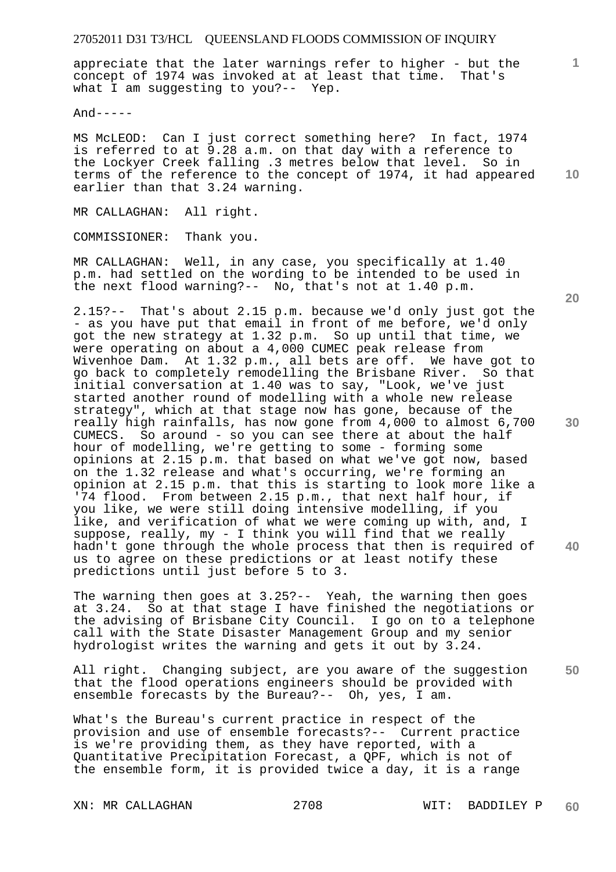appreciate that the later warnings refer to higher - but the concept of 1974 was invoked at at least that time. That's what I am suggesting to you?-- Yep.

 $And----$ 

MS McLEOD: Can I just correct something here? In fact, 1974 is referred to at 9.28 a.m. on that day with a reference to the Lockyer Creek falling .3 metres below that level. So in terms of the reference to the concept of 1974, it had appeared earlier than that 3.24 warning.

MR CALLAGHAN: All right.

COMMISSIONER: Thank you.

MR CALLAGHAN: Well, in any case, you specifically at 1.40 p.m. had settled on the wording to be intended to be used in the next flood warning?-- No, that's not at 1.40 p.m.

2.15?-- That's about 2.15 p.m. because we'd only just got the - as you have put that email in front of me before, we'd only got the new strategy at 1.32 p.m. So up until that time, we were operating on about a 4,000 CUMEC peak release from Wivenhoe Dam. At 1.32 p.m., all bets are off. We have got to go back to completely remodelling the Brisbane River. So that initial conversation at 1.40 was to say, "Look, we've just started another round of modelling with a whole new release strategy", which at that stage now has gone, because of the really high rainfalls, has now gone from 4,000 to almost 6,700 CUMECS. So around - so you can see there at about the half hour of modelling, we're getting to some - forming some opinions at 2.15 p.m. that based on what we've got now, based on the 1.32 release and what's occurring, we're forming an opinion at 2.15 p.m. that this is starting to look more like a '74 flood. From between 2.15 p.m., that next half hour, if you like, we were still doing intensive modelling, if you like, and verification of what we were coming up with, and, I suppose, really, my - I think you will find that we really hadn't gone through the whole process that then is required of us to agree on these predictions or at least notify these predictions until just before 5 to 3.

The warning then goes at 3.25?-- Yeah, the warning then goes at 3.24. So at that stage I have finished the negotiations or the advising of Brisbane City Council. I go on to a telephone call with the State Disaster Management Group and my senior hydrologist writes the warning and gets it out by 3.24.

**50**  All right. Changing subject, are you aware of the suggestion that the flood operations engineers should be provided with ensemble forecasts by the Bureau?-- Oh, yes, I am.

What's the Bureau's current practice in respect of the provision and use of ensemble forecasts?-- Current practice is we're providing them, as they have reported, with a Quantitative Precipitation Forecast, a QPF, which is not of the ensemble form, it is provided twice a day, it is a range

XN: MR CALLAGHAN 2708 WIT: BADDILEY P

**10** 

**1**

**30** 

**40**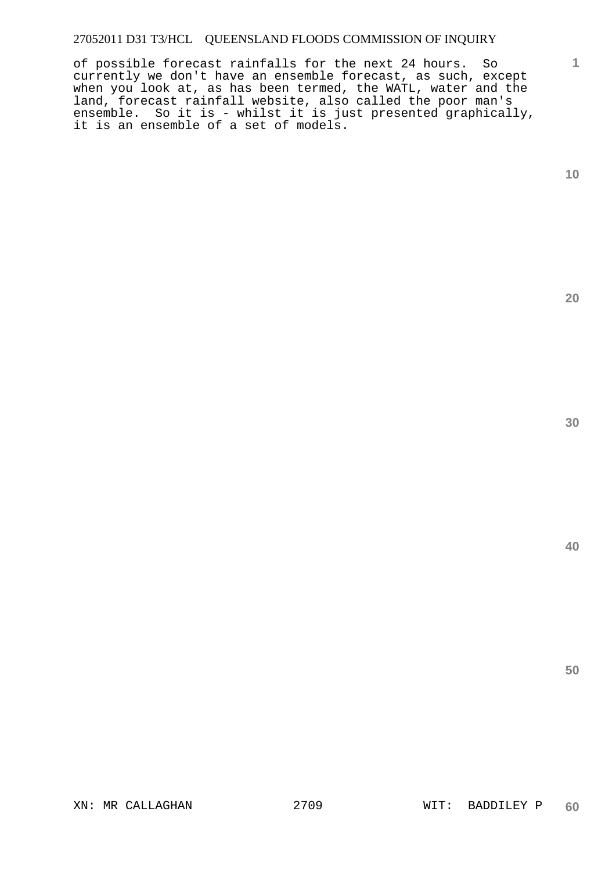of possible forecast rainfalls for the next 24 hours. So currently we don't have an ensemble forecast, as such, except when you look at, as has been termed, the WATL, water and the land, forecast rainfall website, also called the poor man's ensemble. So it is - whilst it is just presented graphically, it is an ensemble of a set of models.

**1**

**20** 

**30**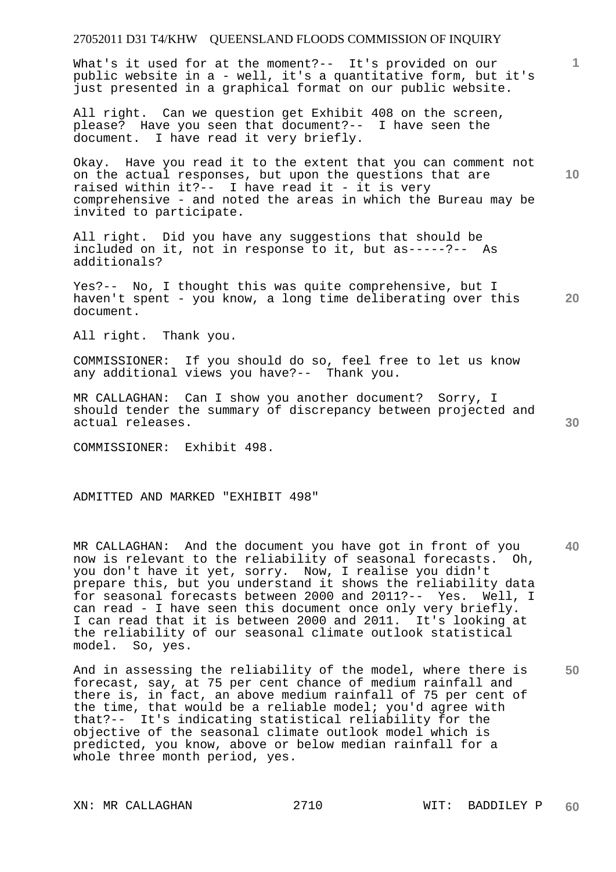What's it used for at the moment?-- It's provided on our public website in a - well, it's a quantitative form, but it's just presented in a graphical format on our public website.

All right. Can we question get Exhibit 408 on the screen, please? Have you seen that document?-- I have seen the document. I have read it very briefly.

Okay. Have you read it to the extent that you can comment not on the actual responses, but upon the questions that are raised within it?-- I have read it - it is very comprehensive - and noted the areas in which the Bureau may be invited to participate.

All right. Did you have any suggestions that should be included on it, not in response to it, but as-----?-- As additionals?

**20**  Yes?-- No, I thought this was quite comprehensive, but I haven't spent - you know, a long time deliberating over this document.

All right. Thank you.

COMMISSIONER: If you should do so, feel free to let us know any additional views you have?-- Thank you.

MR CALLAGHAN: Can I show you another document? Sorry, I should tender the summary of discrepancy between projected and actual releases.

COMMISSIONER: Exhibit 498.

ADMITTED AND MARKED "EXHIBIT 498"

**40**  MR CALLAGHAN: And the document you have got in front of you now is relevant to the reliability of seasonal forecasts. Oh, you don't have it yet, sorry. Now, I realise you didn't prepare this, but you understand it shows the reliability data for seasonal forecasts between 2000 and 2011?-- Yes. Well, I can read - I have seen this document once only very briefly. I can read that it is between 2000 and 2011. It's looking at the reliability of our seasonal climate outlook statistical model. So, yes.

**50**  And in assessing the reliability of the model, where there is forecast, say, at 75 per cent chance of medium rainfall and there is, in fact, an above medium rainfall of 75 per cent of the time, that would be a reliable model; you'd agree with that?-- It's indicating statistical reliability for the objective of the seasonal climate outlook model which is predicted, you know, above or below median rainfall for a whole three month period, yes.

**1**

**30**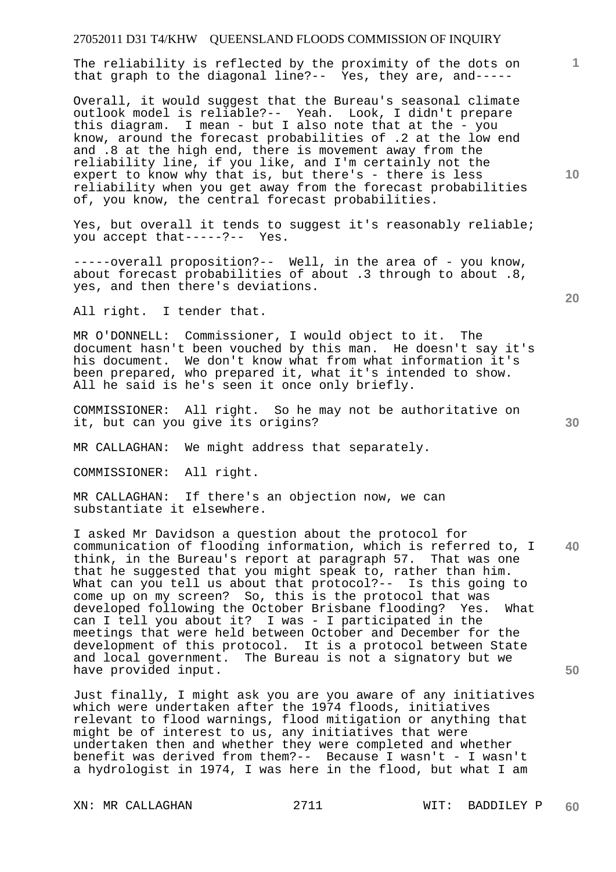The reliability is reflected by the proximity of the dots on that graph to the diagonal line?-- Yes, they are, and-----

Overall, it would suggest that the Bureau's seasonal climate outlook model is reliable?-- Yeah. Look, I didn't prepare this diagram. I mean - but I also note that at the - you know, around the forecast probabilities of .2 at the low end and .8 at the high end, there is movement away from the reliability line, if you like, and I'm certainly not the expert to know why that is, but there's - there is less reliability when you get away from the forecast probabilities of, you know, the central forecast probabilities.

Yes, but overall it tends to suggest it's reasonably reliable; you accept that-----?-- Yes.

-----overall proposition?-- Well, in the area of - you know, about forecast probabilities of about .3 through to about .8, yes, and then there's deviations.

All right. I tender that.

MR O'DONNELL: Commissioner, I would object to it. The document hasn't been vouched by this man. He doesn't say it's his document. We don't know what from what information it's been prepared, who prepared it, what it's intended to show. All he said is he's seen it once only briefly.

COMMISSIONER: All right. So he may not be authoritative on it, but can you give its origins?

MR CALLAGHAN: We might address that separately.

COMMISSIONER: All right.

MR CALLAGHAN: If there's an objection now, we can substantiate it elsewhere.

**40 50**  I asked Mr Davidson a question about the protocol for communication of flooding information, which is referred to, I think, in the Bureau's report at paragraph 57. That was one that he suggested that you might speak to, rather than him. What can you tell us about that protocol?-- Is this going to come up on my screen? So, this is the protocol that was developed following the October Brisbane flooding? Yes. What can I tell you about it? I was - I participated in the meetings that were held between October and December for the development of this protocol. It is a protocol between State and local government. The Bureau is not a signatory but we have provided input.

Just finally, I might ask you are you aware of any initiatives which were undertaken after the 1974 floods, initiatives relevant to flood warnings, flood mitigation or anything that might be of interest to us, any initiatives that were undertaken then and whether they were completed and whether benefit was derived from them?-- Because I wasn't - I wasn't a hydrologist in 1974, I was here in the flood, but what I am

XN: MR CALLAGHAN 2711 WIT: BADDILEY P

**10** 

**1**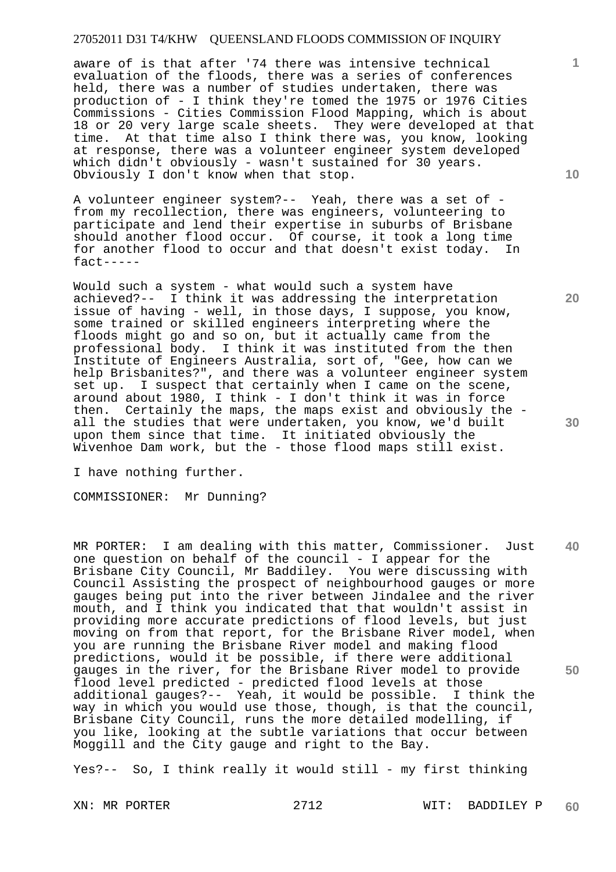aware of is that after '74 there was intensive technical evaluation of the floods, there was a series of conferences held, there was a number of studies undertaken, there was production of - I think they're tomed the 1975 or 1976 Cities Commissions - Cities Commission Flood Mapping, which is about 18 or 20 very large scale sheets. They were developed at that time. At that time also I think there was, you know, looking at response, there was a volunteer engineer system developed which didn't obviously - wasn't sustained for 30 years. Obviously I don't know when that stop.

A volunteer engineer system?-- Yeah, there was a set of from my recollection, there was engineers, volunteering to participate and lend their expertise in suburbs of Brisbane should another flood occur. Of course, it took a long time for another flood to occur and that doesn't exist today. In fact-----

Would such a system - what would such a system have achieved?-- I think it was addressing the interpretation issue of having - well, in those days, I suppose, you know, some trained or skilled engineers interpreting where the floods might go and so on, but it actually came from the professional body. I think it was instituted from the then Institute of Engineers Australia, sort of, "Gee, how can we help Brisbanites?", and there was a volunteer engineer system set up. I suspect that certainly when I came on the scene, around about 1980, I think - I don't think it was in force then. Certainly the maps, the maps exist and obviously the all the studies that were undertaken, you know, we'd built upon them since that time. It initiated obviously the Wivenhoe Dam work, but the - those flood maps still exist.

I have nothing further.

COMMISSIONER: Mr Dunning?

**40 50**  MR PORTER: I am dealing with this matter, Commissioner. Just one question on behalf of the council - I appear for the Brisbane City Council, Mr Baddiley. You were discussing with Council Assisting the prospect of neighbourhood gauges or more gauges being put into the river between Jindalee and the river mouth, and I think you indicated that that wouldn't assist in providing more accurate predictions of flood levels, but just moving on from that report, for the Brisbane River model, when you are running the Brisbane River model and making flood predictions, would it be possible, if there were additional gauges in the river, for the Brisbane River model to provide flood level predicted - predicted flood levels at those additional gauges?-- Yeah, it would be possible. I think the way in which you would use those, though, is that the council, Brisbane City Council, runs the more detailed modelling, if you like, looking at the subtle variations that occur between Moggill and the City gauge and right to the Bay.

Yes?-- So, I think really it would still - my first thinking

**10** 

**1**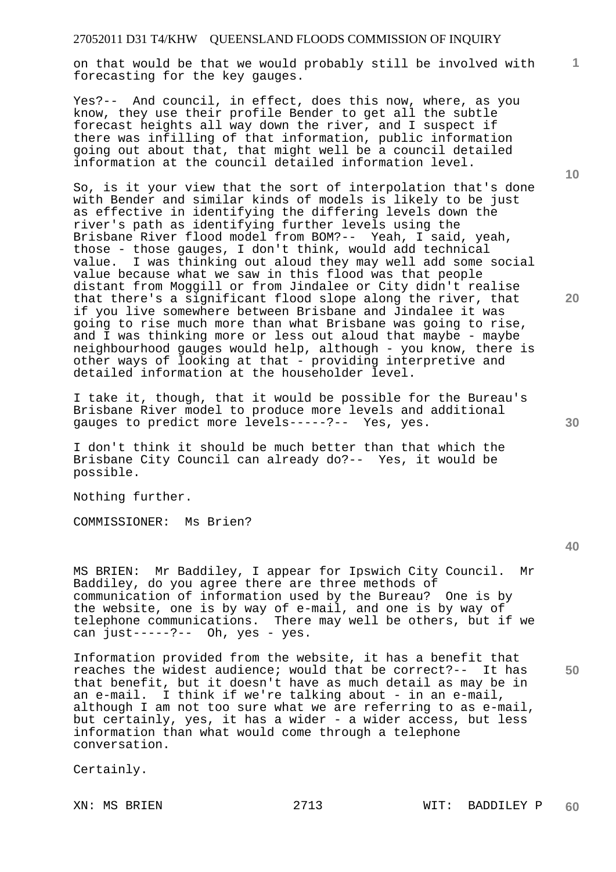on that would be that we would probably still be involved with forecasting for the key gauges.

Yes?-- And council, in effect, does this now, where, as you know, they use their profile Bender to get all the subtle forecast heights all way down the river, and I suspect if there was infilling of that information, public information going out about that, that might well be a council detailed information at the council detailed information level.

So, is it your view that the sort of interpolation that's done with Bender and similar kinds of models is likely to be just as effective in identifying the differing levels down the river's path as identifying further levels using the Brisbane River flood model from BOM?-- Yeah, I said, yeah, those - those gauges, I don't think, would add technical value. I was thinking out aloud they may well add some social value because what we saw in this flood was that people distant from Moggill or from Jindalee or City didn't realise that there's a significant flood slope along the river, that if you live somewhere between Brisbane and Jindalee it was going to rise much more than what Brisbane was going to rise, and I was thinking more or less out aloud that maybe - maybe neighbourhood gauges would help, although - you know, there is other ways of looking at that - providing interpretive and detailed information at the householder level.

I take it, though, that it would be possible for the Bureau's Brisbane River model to produce more levels and additional gauges to predict more levels-----?-- Yes, yes.

I don't think it should be much better than that which the Brisbane City Council can already do?-- Yes, it would be possible.

Nothing further.

COMMISSIONER: Ms Brien?

MS BRIEN: Mr Baddiley, I appear for Ipswich City Council. Mr Baddiley, do you agree there are three methods of communication of information used by the Bureau? One is by the website, one is by way of e-mail, and one is by way of telephone communications. There may well be others, but if we can just-----?-- Oh, yes - yes.

Information provided from the website, it has a benefit that reaches the widest audience; would that be correct?-- It has that benefit, but it doesn't have as much detail as may be in an e-mail. I think if we're talking about - in an e-mail, although I am not too sure what we are referring to as e-mail, but certainly, yes, it has a wider - a wider access, but less information than what would come through a telephone conversation.

Certainly.

**10** 

**1**

**20** 

**40** 

**50**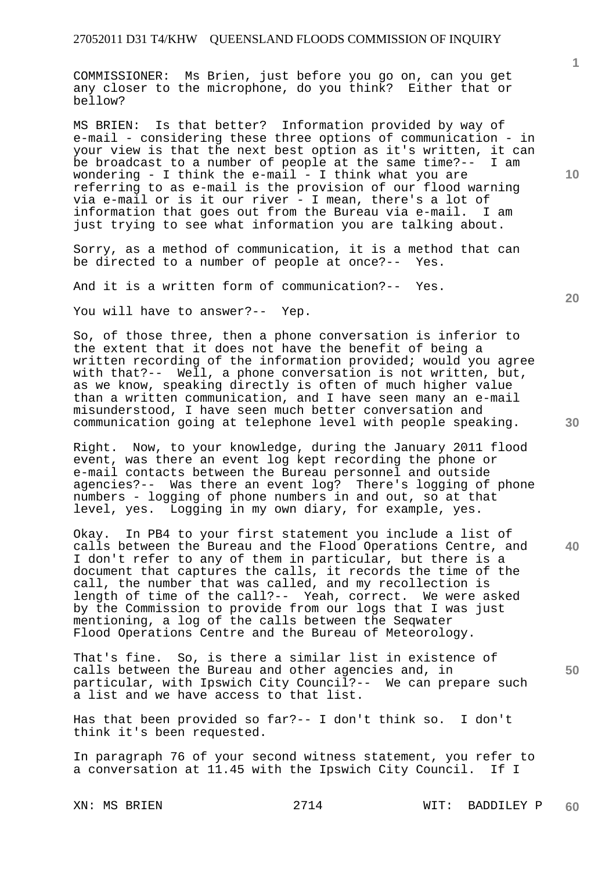COMMISSIONER: Ms Brien, just before you go on, can you get any closer to the microphone, do you think? Either that or bellow?

MS BRIEN: Is that better? Information provided by way of e-mail - considering these three options of communication - in your view is that the next best option as it's written, it can be broadcast to a number of people at the same time?-- I am wondering - I think the e-mail - I think what you are referring to as e-mail is the provision of our flood warning via e-mail or is it our river - I mean, there's a lot of information that goes out from the Bureau via e-mail. I am just trying to see what information you are talking about.

Sorry, as a method of communication, it is a method that can be directed to a number of people at once?-- Yes.

And it is a written form of communication?-- Yes.

You will have to answer?-- Yep.

So, of those three, then a phone conversation is inferior to the extent that it does not have the benefit of being a written recording of the information provided; would you agree with that?-- Well, a phone conversation is not written, but, as we know, speaking directly is often of much higher value than a written communication, and I have seen many an e-mail misunderstood, I have seen much better conversation and communication going at telephone level with people speaking.

Right. Now, to your knowledge, during the January 2011 flood event, was there an event log kept recording the phone or e-mail contacts between the Bureau personnel and outside agencies?-- Was there an event log? There's logging of phone numbers - logging of phone numbers in and out, so at that level, yes. Logging in my own diary, for example, yes.

Okay. In PB4 to your first statement you include a list of calls between the Bureau and the Flood Operations Centre, and I don't refer to any of them in particular, but there is a document that captures the calls, it records the time of the call, the number that was called, and my recollection is length of time of the call?-- Yeah, correct. We were asked by the Commission to provide from our logs that I was just mentioning, a log of the calls between the Seqwater Flood Operations Centre and the Bureau of Meteorology.

That's fine. So, is there a similar list in existence of calls between the Bureau and other agencies and, in particular, with Ipswich City Council?-- We can prepare such a list and we have access to that list.

Has that been provided so far?-- I don't think so. I don't think it's been requested.

In paragraph 76 of your second witness statement, you refer to a conversation at 11.45 with the Ipswich City Council. If I

**1**

**20** 

**40**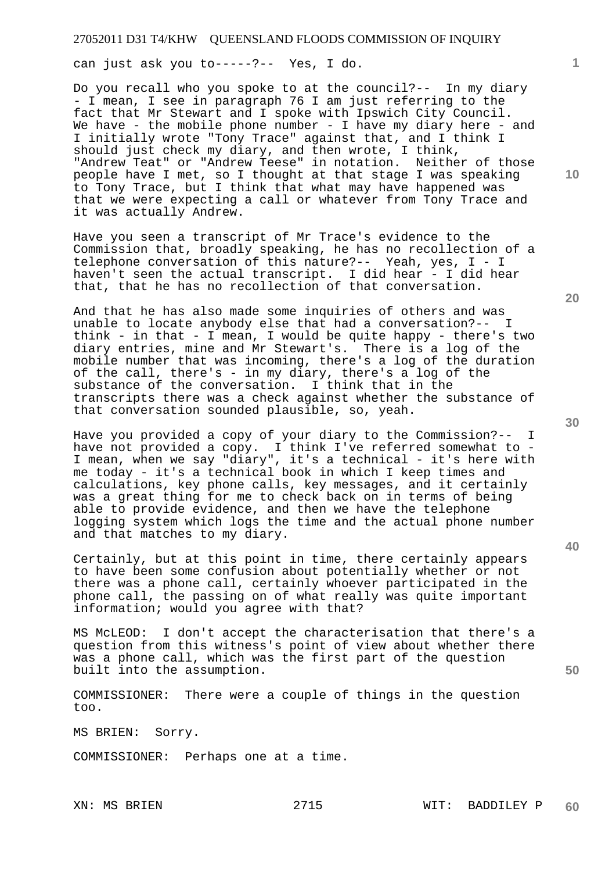can just ask you to-----?-- Yes, I do.

Do you recall who you spoke to at the council?-- In my diary - I mean, I see in paragraph 76 I am just referring to the fact that Mr Stewart and I spoke with Ipswich City Council. We have - the mobile phone number - I have my diary here - and I initially wrote "Tony Trace" against that, and I think I should just check my diary, and then wrote, I think, "Andrew Teat" or "Andrew Teese" in notation. Neither of those people have I met, so I thought at that stage I was speaking to Tony Trace, but I think that what may have happened was that we were expecting a call or whatever from Tony Trace and it was actually Andrew.

Have you seen a transcript of Mr Trace's evidence to the Commission that, broadly speaking, he has no recollection of a telephone conversation of this nature?-- Yeah, yes, I - I haven't seen the actual transcript. I did hear - I did hear that, that he has no recollection of that conversation.

And that he has also made some inquiries of others and was unable to locate anybody else that had a conversation?-- I think - in that - I mean, I would be quite happy - there's two diary entries, mine and Mr Stewart's. There is a log of the mobile number that was incoming, there's a log of the duration of the call, there's - in my diary, there's a log of the substance of the conversation. I think that in the transcripts there was a check against whether the substance of that conversation sounded plausible, so, yeah.

Have you provided a copy of your diary to the Commission?-- I have not provided a copy. I think I've referred somewhat to - I mean, when we say "diary", it's a technical - it's here with me today - it's a technical book in which I keep times and calculations, key phone calls, key messages, and it certainly was a great thing for me to check back on in terms of being able to provide evidence, and then we have the telephone logging system which logs the time and the actual phone number and that matches to my diary.

Certainly, but at this point in time, there certainly appears to have been some confusion about potentially whether or not there was a phone call, certainly whoever participated in the phone call, the passing on of what really was quite important information; would you agree with that?

MS McLEOD: I don't accept the characterisation that there's a question from this witness's point of view about whether there was a phone call, which was the first part of the question built into the assumption.

COMMISSIONER: There were a couple of things in the question too.

MS BRIEN: Sorry.

COMMISSIONER: Perhaps one at a time.

**1**

**20** 

**30** 

**40**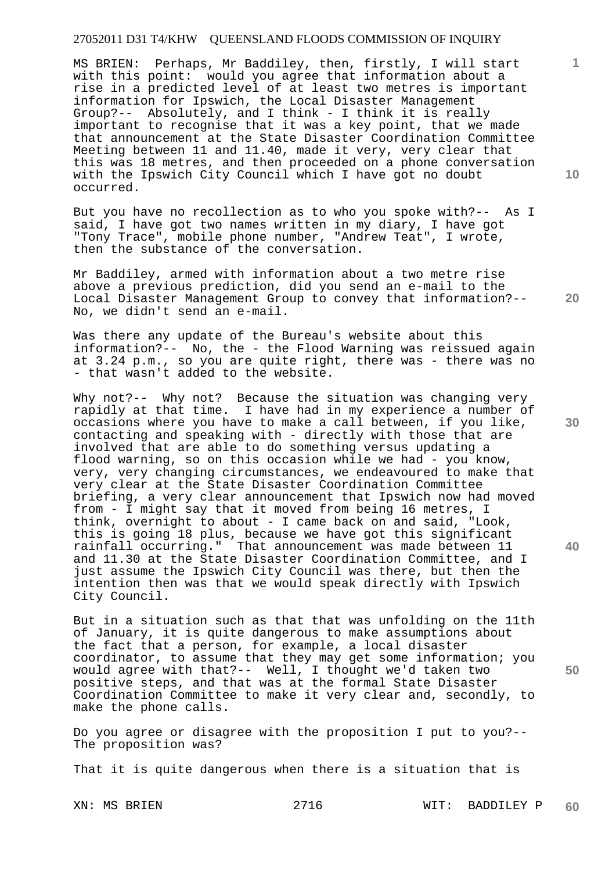MS BRIEN: Perhaps, Mr Baddiley, then, firstly, I will start with this point: would you agree that information about a rise in a predicted level of at least two metres is important information for Ipswich, the Local Disaster Management Group?-- Absolutely, and I think - I think it is really important to recognise that it was a key point, that we made that announcement at the State Disaster Coordination Committee Meeting between 11 and 11.40, made it very, very clear that this was 18 metres, and then proceeded on a phone conversation with the Ipswich City Council which I have got no doubt occurred.

But you have no recollection as to who you spoke with?-- As I said, I have got two names written in my diary, I have got "Tony Trace", mobile phone number, "Andrew Teat", I wrote, then the substance of the conversation.

Mr Baddiley, armed with information about a two metre rise above a previous prediction, did you send an e-mail to the Local Disaster Management Group to convey that information?-- No, we didn't send an e-mail.

Was there any update of the Bureau's website about this information?-- No, the - the Flood Warning was reissued again at 3.24 p.m., so you are quite right, there was - there was no - that wasn't added to the website.

Why not?-- Why not? Because the situation was changing very rapidly at that time. I have had in my experience a number of occasions where you have to make a call between, if you like, contacting and speaking with - directly with those that are involved that are able to do something versus updating a flood warning, so on this occasion while we had - you know, very, very changing circumstances, we endeavoured to make that very clear at the State Disaster Coordination Committee briefing, a very clear announcement that Ipswich now had moved from - I might say that it moved from being 16 metres, I think, overnight to about - I came back on and said, "Look, this is going 18 plus, because we have got this significant rainfall occurring." That announcement was made between 11 and 11.30 at the State Disaster Coordination Committee, and I just assume the Ipswich City Council was there, but then the intention then was that we would speak directly with Ipswich City Council.

But in a situation such as that that was unfolding on the 11th of January, it is quite dangerous to make assumptions about the fact that a person, for example, a local disaster coordinator, to assume that they may get some information; you would agree with that?-- Well, I thought we'd taken two positive steps, and that was at the formal State Disaster Coordination Committee to make it very clear and, secondly, to make the phone calls.

Do you agree or disagree with the proposition I put to you?-- The proposition was?

That it is quite dangerous when there is a situation that is

**10** 

**1**

**30** 

**20** 

**40**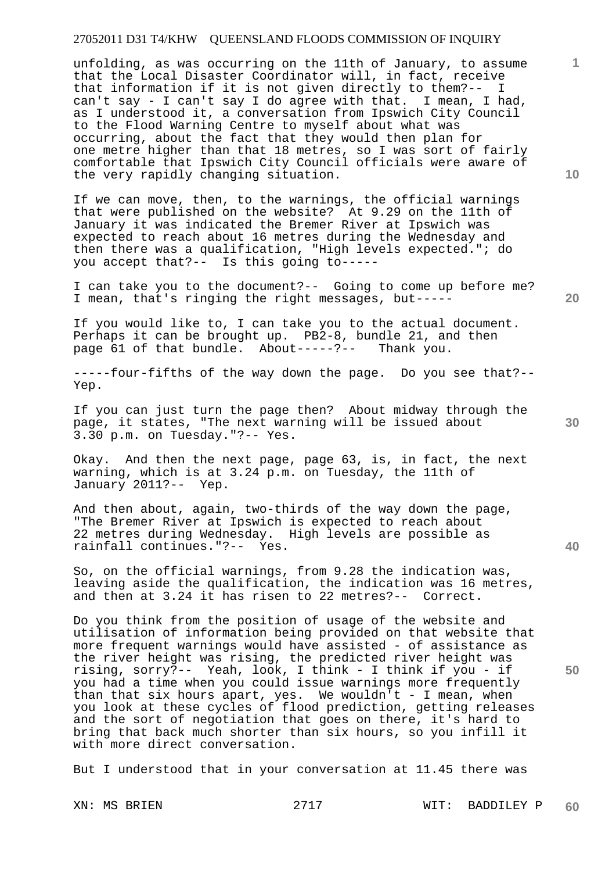unfolding, as was occurring on the 11th of January, to assume that the Local Disaster Coordinator will, in fact, receive that information if it is not given directly to them?-- I can't say - I can't say I do agree with that. I mean, I had, as I understood it, a conversation from Ipswich City Council to the Flood Warning Centre to myself about what was occurring, about the fact that they would then plan for one metre higher than that 18 metres, so I was sort of fairly comfortable that Ipswich City Council officials were aware of the very rapidly changing situation.

If we can move, then, to the warnings, the official warnings that were published on the website? At 9.29 on the 11th of January it was indicated the Bremer River at Ipswich was expected to reach about 16 metres during the Wednesday and then there was a qualification, "High levels expected."; do you accept that?-- Is this going to-----

I can take you to the document?-- Going to come up before me? I mean, that's ringing the right messages, but-----

If you would like to, I can take you to the actual document. Perhaps it can be brought up.  $P\overline{2}-8$ , bundle 21, and then<br>page 61 of that bundle. About-----?-- Thank you. page  $61$  of that bundle. About-----?--

-----four-fifths of the way down the page. Do you see that?-- Yep.

If you can just turn the page then? About midway through the page, it states, "The next warning will be issued about 3.30 p.m. on Tuesday."?-- Yes.

Okay. And then the next page, page 63, is, in fact, the next warning, which is at 3.24 p.m. on Tuesday, the 11th of January 2011?-- Yep.

And then about, again, two-thirds of the way down the page, "The Bremer River at Ipswich is expected to reach about 22 metres during Wednesday. High levels are possible as rainfall continues."?-- Yes.

So, on the official warnings, from 9.28 the indication was, leaving aside the qualification, the indication was 16 metres, and then at 3.24 it has risen to 22 metres?-- Correct.

Do you think from the position of usage of the website and utilisation of information being provided on that website that more frequent warnings would have assisted - of assistance as the river height was rising, the predicted river height was rising, sorry?-- Yeah, look, I think - I think if you - if you had a time when you could issue warnings more frequently than that six hours apart, yes. We wouldn't - I mean, when you look at these cycles of flood prediction, getting releases and the sort of negotiation that goes on there, it's hard to bring that back much shorter than six hours, so you infill it with more direct conversation.

But I understood that in your conversation at 11.45 there was

XN: MS BRIEN 2717 WIT: BADDILEY P **60** 

**10** 

**1**

**20** 

**40** 

**50**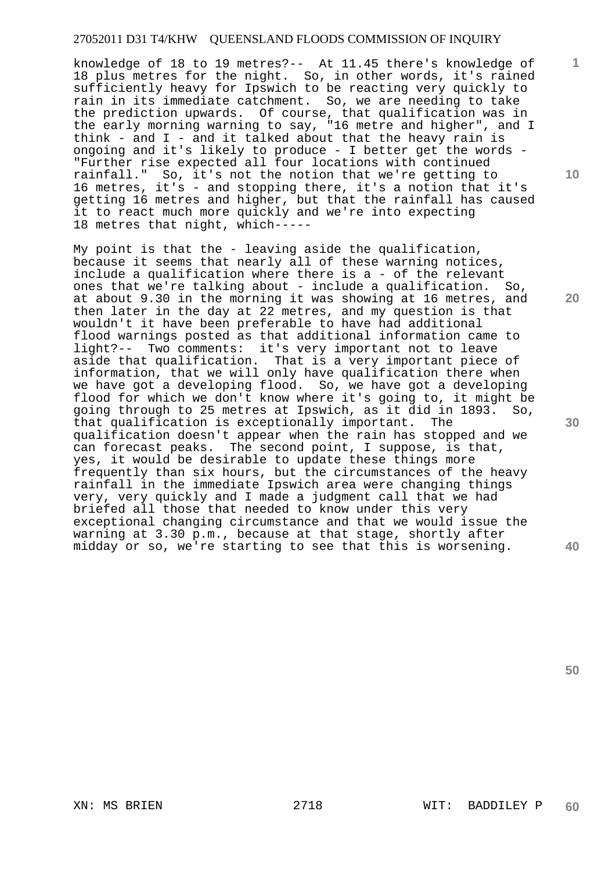knowledge of 18 to 19 metres?-- At 11.45 there's knowledge of 18 plus metres for the night. So, in other words, it's rained sufficiently heavy for Ipswich to be reacting very quickly to rain in its immediate catchment. So, we are needing to take the prediction upwards. Of course, that qualification was in the early morning warning to say, "16 metre and higher", and I think - and  $I$  - and it talked about that the heavy rain is ongoing and it's likely to produce - I better get the words - "Further rise expected all four locations with continued rainfall." So, it's not the notion that we're getting to 16 metres, it's - and stopping there, it's a notion that it's getting 16 metres and higher, but that the rainfall has caused it to react much more quickly and we're into expecting 18 metres that night, which-----

My point is that the - leaving aside the qualification, because it seems that nearly all of these warning notices, include a qualification where there is a - of the relevant ones that we're talking about - include a qualification. So, at about 9.30 in the morning it was showing at 16 metres, and then later in the day at 22 metres, and my question is that wouldn't it have been preferable to have had additional flood warnings posted as that additional information came to light?-- Two comments: it's very important not to leave aside that qualification. That is a very important piece of information, that we will only have qualification there when we have got a developing flood. So, we have got a developing flood for which we don't know where it's going to, it might be going through to 25 metres at Ipswich, as it did in 1893. So, that qualification is exceptionally important. The qualification doesn't appear when the rain has stopped and we can forecast peaks. The second point, I suppose, is that, yes, it would be desirable to update these things more frequently than six hours, but the circumstances of the heavy rainfall in the immediate Ipswich area were changing things very, very quickly and I made a judgment call that we had briefed all those that needed to know under this very exceptional changing circumstance and that we would issue the warning at 3.30 p.m., because at that stage, shortly after midday or so, we're starting to see that this is worsening.

**20** 

**10** 

**1**

**30** 

**40**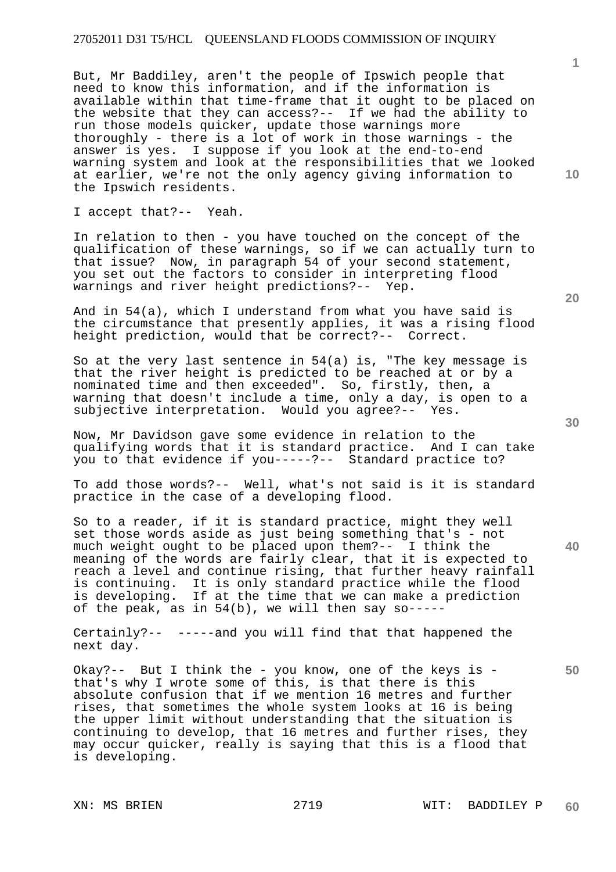But, Mr Baddiley, aren't the people of Ipswich people that need to know this information, and if the information is available within that time-frame that it ought to be placed on the website that they can access?-- If we had the ability to run those models quicker, update those warnings more thoroughly - there is a lot of work in those warnings - the answer is yes. I suppose if you look at the end-to-end warning system and look at the responsibilities that we looked at earlier, we're not the only agency giving information to the Ipswich residents.

I accept that?-- Yeah.

In relation to then - you have touched on the concept of the qualification of these warnings, so if we can actually turn to that issue? Now, in paragraph 54 of your second statement, you set out the factors to consider in interpreting flood warnings and river height predictions?-- Yep.

And in 54(a), which I understand from what you have said is the circumstance that presently applies, it was a rising flood height prediction, would that be correct?-- Correct.

So at the very last sentence in 54(a) is, "The key message is that the river height is predicted to be reached at or by a nominated time and then exceeded". So, firstly, then, a warning that doesn't include a time, only a day, is open to a subjective interpretation. Would you agree?-- Yes.

Now, Mr Davidson gave some evidence in relation to the qualifying words that it is standard practice. And I can take you to that evidence if you-----?-- Standard practice to?

To add those words?-- Well, what's not said is it is standard practice in the case of a developing flood.

So to a reader, if it is standard practice, might they well set those words aside as just being something that's - not much weight ought to be placed upon them?-- I think the meaning of the words are fairly clear, that it is expected to reach a level and continue rising, that further heavy rainfall is continuing. It is only standard practice while the flood is developing. If at the time that we can make a prediction of the peak, as in 54(b), we will then say so-----

Certainly?-- -----and you will find that that happened the next day.

Okay?-- But I think the - you know, one of the keys is that's why I wrote some of this, is that there is this absolute confusion that if we mention 16 metres and further rises, that sometimes the whole system looks at 16 is being the upper limit without understanding that the situation is continuing to develop, that 16 metres and further rises, they may occur quicker, really is saying that this is a flood that is developing.

**20** 

**10** 

**1**

**40**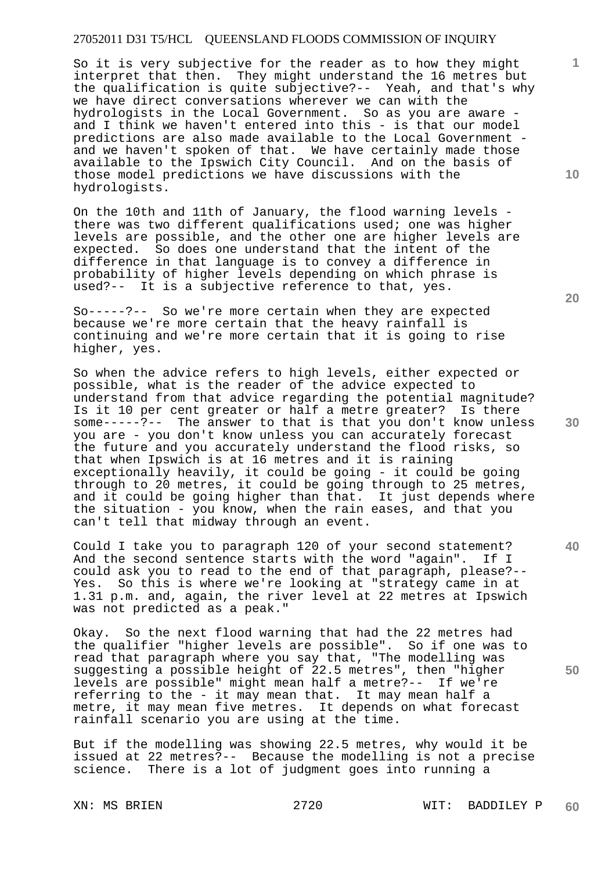So it is very subjective for the reader as to how they might interpret that then. They might understand the 16 metres but the qualification is quite subjective?-- Yeah, and that's why we have direct conversations wherever we can with the hydrologists in the Local Government. So as you are aware and I think we haven't entered into this - is that our model predictions are also made available to the Local Government and we haven't spoken of that. We have certainly made those available to the Ipswich City Council. And on the basis of those model predictions we have discussions with the hydrologists.

On the 10th and 11th of January, the flood warning levels there was two different qualifications used; one was higher levels are possible, and the other one are higher levels are expected. So does one understand that the intent of the difference in that language is to convey a difference in probability of higher levels depending on which phrase is used?-- It is a subjective reference to that, yes.

So-----?-- So we're more certain when they are expected because we're more certain that the heavy rainfall is continuing and we're more certain that it is going to rise higher, yes.

So when the advice refers to high levels, either expected or possible, what is the reader of the advice expected to understand from that advice regarding the potential magnitude? Is it 10 per cent greater or half a metre greater? Is there some-----?-- The answer to that is that you don't know unless you are - you don't know unless you can accurately forecast the future and you accurately understand the flood risks, so that when Ipswich is at 16 metres and it is raining exceptionally heavily, it could be going - it could be going through to 20 metres, it could be going through to 25 metres, and it could be going higher than that. It just depends where the situation - you know, when the rain eases, and that you can't tell that midway through an event.

Could I take you to paragraph 120 of your second statement? And the second sentence starts with the word "again". If I could ask you to read to the end of that paragraph, please?-- Yes. So this is where we're looking at "strategy came in at 1.31 p.m. and, again, the river level at 22 metres at Ipswich was not predicted as a peak."

Okay. So the next flood warning that had the 22 metres had the qualifier "higher levels are possible". So if one was to read that paragraph where you say that, "The modelling was suggesting a possible height of 22.5 metres", then "higher levels are possible" might mean half a metre?-- If we're referring to the - it may mean that. It may mean half a metre, it may mean five metres. It depends on what forecast rainfall scenario you are using at the time.

But if the modelling was showing 22.5 metres, why would it be issued at 22 metres?-- Because the modelling is not a precise science. There is a lot of judgment goes into running a

**20** 

**10** 

**30** 

**40**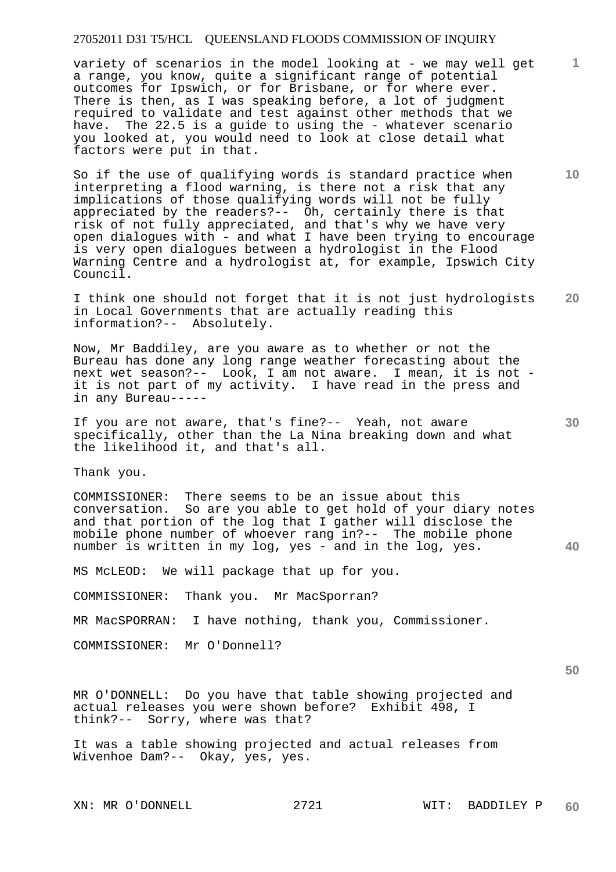variety of scenarios in the model looking at - we may well get a range, you know, quite a significant range of potential outcomes for Ipswich, or for Brisbane, or for where ever. There is then, as I was speaking before, a lot of judgment required to validate and test against other methods that we have. The 22.5 is a guide to using the - whatever scenario you looked at, you would need to look at close detail what factors were put in that.

So if the use of qualifying words is standard practice when interpreting a flood warning, is there not a risk that any implications of those qualifying words will not be fully appreciated by the readers?-- Oh, certainly there is that risk of not fully appreciated, and that's why we have very open dialogues with - and what I have been trying to encourage is very open dialogues between a hydrologist in the Flood Warning Centre and a hydrologist at, for example, Ipswich City Council.

**20**  I think one should not forget that it is not just hydrologists in Local Governments that are actually reading this information?-- Absolutely.

Now, Mr Baddiley, are you aware as to whether or not the Bureau has done any long range weather forecasting about the next wet season?-- Look, I am not aware. I mean, it is not it is not part of my activity. I have read in the press and in any Bureau-----

If you are not aware, that's fine?-- Yeah, not aware specifically, other than the La Nina breaking down and what the likelihood it, and that's all.

Thank you.

COMMISSIONER: There seems to be an issue about this conversation. So are you able to get hold of your diary notes and that portion of the log that I gather will disclose the mobile phone number of whoever rang in?-- The mobile phone number is written in my log, yes - and in the log, yes.

MS McLEOD: We will package that up for you.

COMMISSIONER: Thank you. Mr MacSporran?

MR MacSPORRAN: I have nothing, thank you, Commissioner.

COMMISSIONER: Mr O'Donnell?

**50** 

**1**

**10** 

**30** 

**40** 

MR O'DONNELL: Do you have that table showing projected and actual releases you were shown before? Exhibit 498, I think?-- Sorry, where was that?

It was a table showing projected and actual releases from Wivenhoe Dam?-- Okay, yes, yes.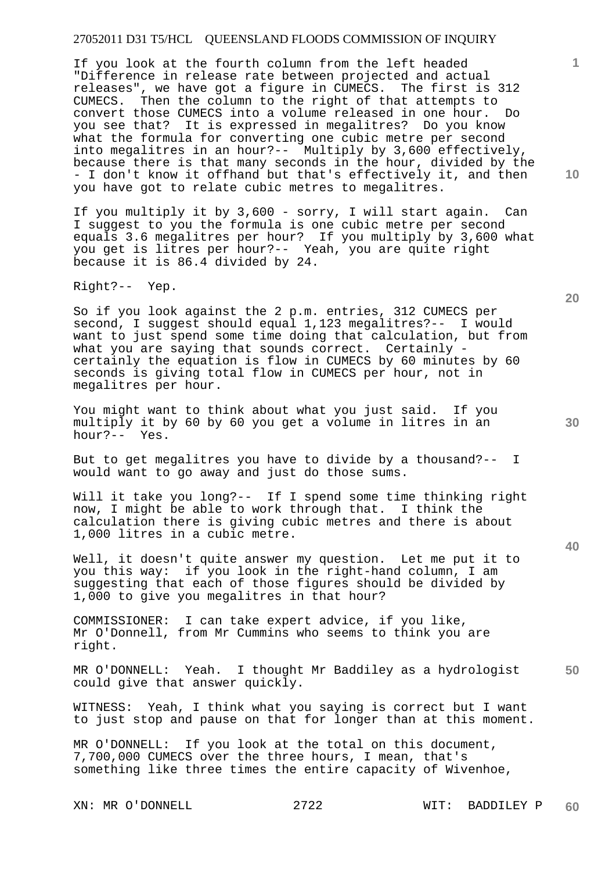If you look at the fourth column from the left headed "Difference in release rate between projected and actual releases", we have got a figure in CUMECS. The first is 312 CUMECS. Then the column to the right of that attempts to convert those CUMECS into a volume released in one hour. Do you see that? It is expressed in megalitres? Do you know what the formula for converting one cubic metre per second into megalitres in an hour?-- Multiply by 3,600 effectively, because there is that many seconds in the hour, divided by the - I don't know it offhand but that's effectively it, and then you have got to relate cubic metres to megalitres.

If you multiply it by 3,600 - sorry, I will start again. Can I suggest to you the formula is one cubic metre per second equals 3.6 megalitres per hour? If you multiply by 3,600 what you get is litres per hour?-- Yeah, you are quite right because it is 86.4 divided by 24.

Right?-- Yep.

So if you look against the 2 p.m. entries, 312 CUMECS per second, I suggest should equal 1,123 megalitres?-- I would want to just spend some time doing that calculation, but from what you are saying that sounds correct. Certainly certainly the equation is flow in CUMECS by 60 minutes by 60 seconds is giving total flow in CUMECS per hour, not in megalitres per hour.

You might want to think about what you just said. If you multiply it by 60 by 60 you get a volume in litres in an hour?-- Yes.

But to get megalitres you have to divide by a thousand?-- I would want to go away and just do those sums.

Will it take you long?-- If I spend some time thinking right now, I might be able to work through that. I think the calculation there is giving cubic metres and there is about 1,000 litres in a cubic metre.

Well, it doesn't quite answer my question. Let me put it to you this way: if you look in the right-hand column, I am suggesting that each of those figures should be divided by 1,000 to give you megalitres in that hour?

COMMISSIONER: I can take expert advice, if you like, Mr O'Donnell, from Mr Cummins who seems to think you are right.

**50**  MR O'DONNELL: Yeah. I thought Mr Baddiley as a hydrologist could give that answer quickly.

WITNESS: Yeah, I think what you saying is correct but I want to just stop and pause on that for longer than at this moment.

MR O'DONNELL: If you look at the total on this document, 7,700,000 CUMECS over the three hours, I mean, that's something like three times the entire capacity of Wivenhoe,

**10** 

**1**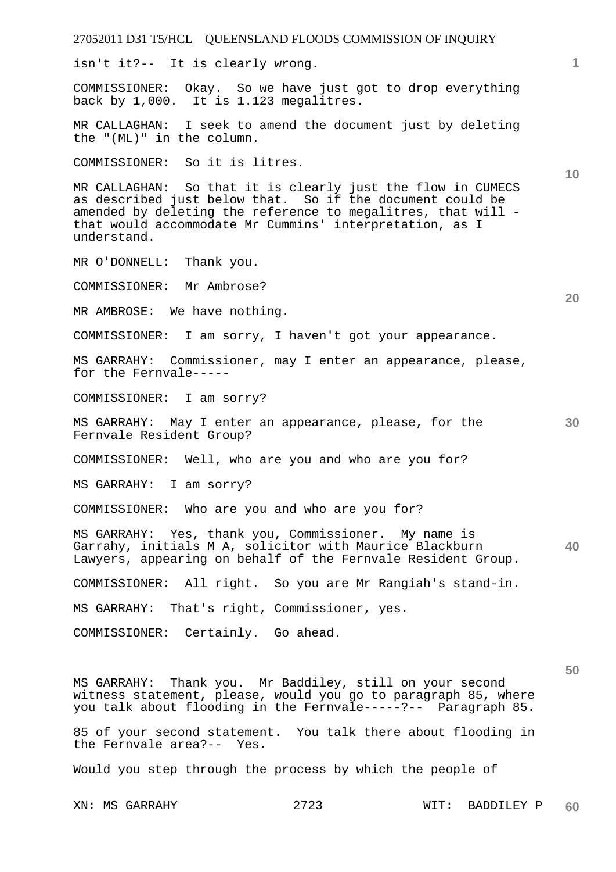27052011 D31 T5/HCL QUEENSLAND FLOODS COMMISSION OF INQUIRY **1 10 20 30 40 50**  isn't it?-- It is clearly wrong. COMMISSIONER: Okay. So we have just got to drop everything back by 1,000. It is 1.123 megalitres. MR CALLAGHAN: I seek to amend the document just by deleting the "(ML)" in the column. COMMISSIONER: So it is litres. MR CALLAGHAN: So that it is clearly just the flow in CUMECS as described just below that. So if the document could be amended by deleting the reference to megalitres, that will that would accommodate Mr Cummins' interpretation, as I understand. MR O'DONNELL: Thank you. COMMISSIONER: Mr Ambrose? MR AMBROSE: We have nothing. COMMISSIONER: I am sorry, I haven't got your appearance. MS GARRAHY: Commissioner, may I enter an appearance, please, for the Fernvale----- COMMISSIONER: I am sorry? MS GARRAHY: May I enter an appearance, please, for the Fernvale Resident Group? COMMISSIONER: Well, who are you and who are you for? MS GARRAHY: I am sorry? COMMISSIONER: Who are you and who are you for? MS GARRAHY: Yes, thank you, Commissioner. My name is Garrahy, initials M A, solicitor with Maurice Blackburn Lawyers, appearing on behalf of the Fernvale Resident Group. COMMISSIONER: All right. So you are Mr Rangiah's stand-in. MS GARRAHY: That's right, Commissioner, yes. COMMISSIONER: Certainly. Go ahead. MS GARRAHY: Thank you. Mr Baddiley, still on your second witness statement, please, would you go to paragraph 85, where you talk about flooding in the Fernvale-----?-- Paragraph 85. 85 of your second statement. You talk there about flooding in the Fernvale area?-- Yes. Would you step through the process by which the people of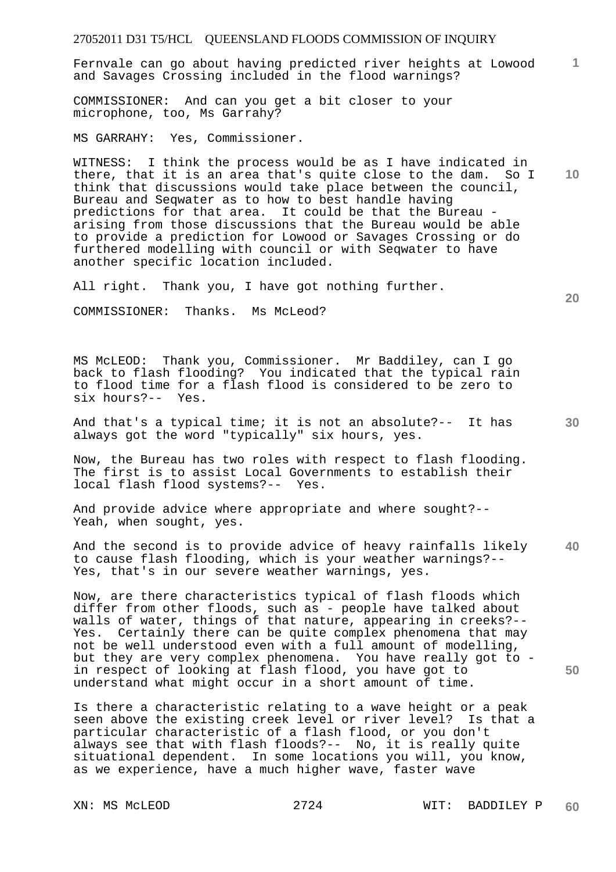27052011 D31 T5/HCL QUEENSLAND FLOODS COMMISSION OF INQUIRY **1 10 20 30 40 50**  Fernvale can go about having predicted river heights at Lowood and Savages Crossing included in the flood warnings? COMMISSIONER: And can you get a bit closer to your microphone, too, Ms Garrahy? MS GARRAHY: Yes, Commissioner. WITNESS: I think the process would be as I have indicated in there, that it is an area that's quite close to the dam. So I think that discussions would take place between the council, Bureau and Seqwater as to how to best handle having predictions for that area. It could be that the Bureau arising from those discussions that the Bureau would be able to provide a prediction for Lowood or Savages Crossing or do furthered modelling with council or with Seqwater to have another specific location included. All right. Thank you, I have got nothing further. COMMISSIONER: Thanks. Ms McLeod? MS McLEOD: Thank you, Commissioner. Mr Baddiley, can I go back to flash flooding? You indicated that the typical rain to flood time for a flash flood is considered to be zero to six hours?-- Yes. And that's a typical time; it is not an absolute?-- It has always got the word "typically" six hours, yes. Now, the Bureau has two roles with respect to flash flooding. The first is to assist Local Governments to establish their local flash flood systems?-- Yes. And provide advice where appropriate and where sought?-- Yeah, when sought, yes. And the second is to provide advice of heavy rainfalls likely to cause flash flooding, which is your weather warnings?-- Yes, that's in our severe weather warnings, yes. Now, are there characteristics typical of flash floods which differ from other floods, such as - people have talked about walls of water, things of that nature, appearing in creeks?-- Yes. Certainly there can be quite complex phenomena that may not be well understood even with a full amount of modelling, but they are very complex phenomena. You have really got to in respect of looking at flash flood, you have got to understand what might occur in a short amount of time.

Is there a characteristic relating to a wave height or a peak seen above the existing creek level or river level? Is that a particular characteristic of a flash flood, or you don't always see that with flash floods?-- No, it is really quite situational dependent. In some locations you will, you know, as we experience, have a much higher wave, faster wave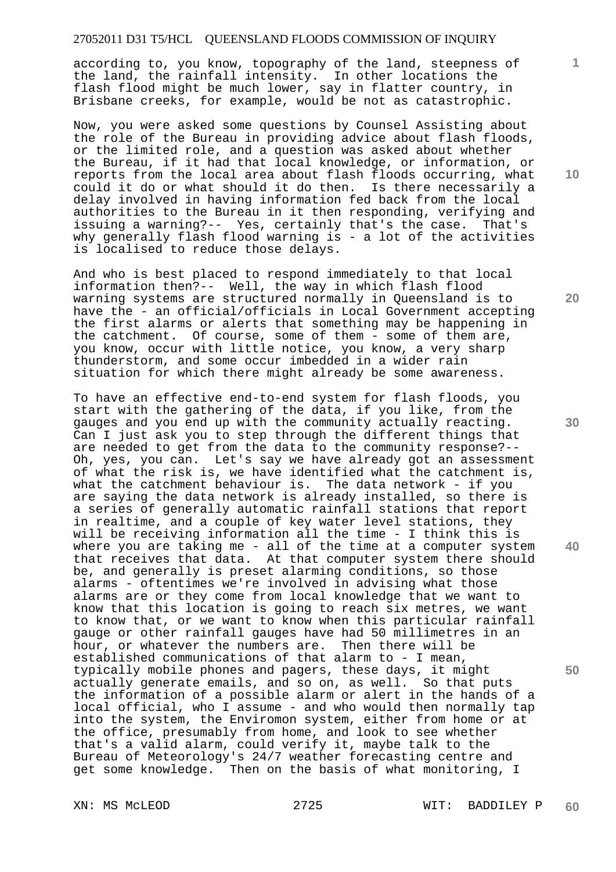according to, you know, topography of the land, steepness of the land, the rainfall intensity. In other locations the flash flood might be much lower, say in flatter country, in Brisbane creeks, for example, would be not as catastrophic.

Now, you were asked some questions by Counsel Assisting about the role of the Bureau in providing advice about flash floods, or the limited role, and a question was asked about whether the Bureau, if it had that local knowledge, or information, or reports from the local area about flash floods occurring, what could it do or what should it do then. Is there necessarily a delay involved in having information fed back from the local authorities to the Bureau in it then responding, verifying and issuing a warning?-- Yes, certainly that's the case. That's why generally flash flood warning is - a lot of the activities is localised to reduce those delays.

And who is best placed to respond immediately to that local information then?-- Well, the way in which flash flood warning systems are structured normally in Queensland is to have the - an official/officials in Local Government accepting the first alarms or alerts that something may be happening in the catchment. Of course, some of them - some of them are, you know, occur with little notice, you know, a very sharp thunderstorm, and some occur imbedded in a wider rain situation for which there might already be some awareness.

To have an effective end-to-end system for flash floods, you start with the gathering of the data, if you like, from the gauges and you end up with the community actually reacting. Can I just ask you to step through the different things that are needed to get from the data to the community response?-- Oh, yes, you can. Let's say we have already got an assessment of what the risk is, we have identified what the catchment is, what the catchment behaviour is. The data network - if you are saying the data network is already installed, so there is a series of generally automatic rainfall stations that report in realtime, and a couple of key water level stations, they will be receiving information all the time - I think this is where you are taking me - all of the time at a computer system that receives that data. At that computer system there should be, and generally is preset alarming conditions, so those alarms - oftentimes we're involved in advising what those alarms are or they come from local knowledge that we want to know that this location is going to reach six metres, we want to know that, or we want to know when this particular rainfall gauge or other rainfall gauges have had 50 millimetres in an hour, or whatever the numbers are. Then there will be established communications of that alarm to - I mean, typically mobile phones and pagers, these days, it might actually generate emails, and so on, as well. So that puts the information of a possible alarm or alert in the hands of a local official, who I assume - and who would then normally tap into the system, the Enviromon system, either from home or at the office, presumably from home, and look to see whether that's a valid alarm, could verify it, maybe talk to the Bureau of Meteorology's 24/7 weather forecasting centre and get some knowledge. Then on the basis of what monitoring, I

XN: MS McLEOD 2725 WIT: BADDILEY P **60** 

**10** 

**1**

**20** 

**30** 

**40**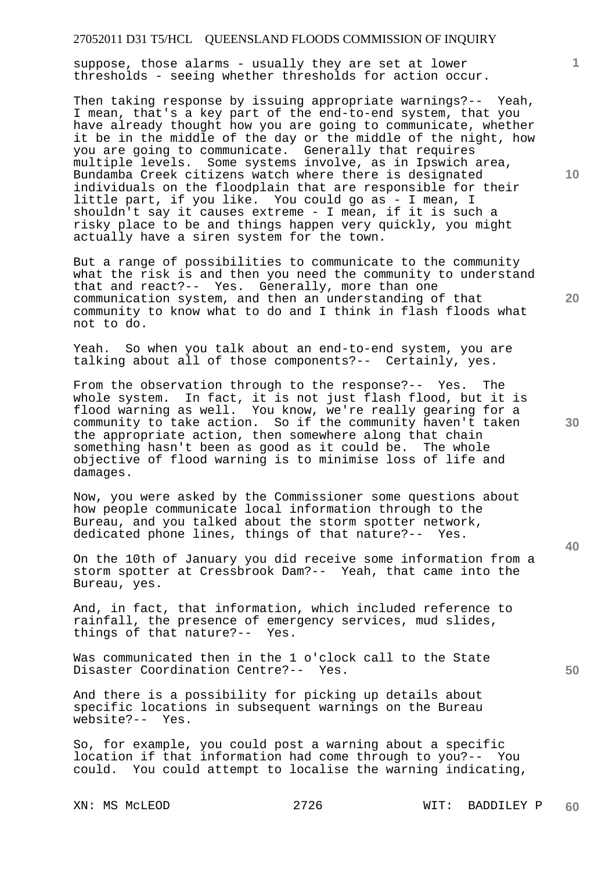suppose, those alarms - usually they are set at lower thresholds - seeing whether thresholds for action occur.

Then taking response by issuing appropriate warnings?-- Yeah, I mean, that's a key part of the end-to-end system, that you have already thought how you are going to communicate, whether it be in the middle of the day or the middle of the night, how you are going to communicate. Generally that requires multiple levels. Some systems involve, as in Ipswich area, Bundamba Creek citizens watch where there is designated individuals on the floodplain that are responsible for their little part, if you like. You could go as - I mean, I shouldn't say it causes extreme - I mean, if it is such a risky place to be and things happen very quickly, you might actually have a siren system for the town.

But a range of possibilities to communicate to the community what the risk is and then you need the community to understand that and react?-- Yes. Generally, more than one communication system, and then an understanding of that community to know what to do and I think in flash floods what not to do.

Yeah. So when you talk about an end-to-end system, you are talking about all of those components?-- Certainly, yes.

From the observation through to the response?-- Yes. The whole system. In fact, it is not just flash flood, but it is flood warning as well. You know, we're really gearing for a community to take action. So if the community haven't taken the appropriate action, then somewhere along that chain something hasn't been as good as it could be. The whole objective of flood warning is to minimise loss of life and damages.

Now, you were asked by the Commissioner some questions about how people communicate local information through to the Bureau, and you talked about the storm spotter network, dedicated phone lines, things of that nature?-- Yes.

On the 10th of January you did receive some information from a storm spotter at Cressbrook Dam?-- Yeah, that came into the Bureau, yes.

And, in fact, that information, which included reference to rainfall, the presence of emergency services, mud slides, things of that nature?-- Yes.

Was communicated then in the 1 o'clock call to the State Disaster Coordination Centre?-- Yes.

And there is a possibility for picking up details about specific locations in subsequent warnings on the Bureau website?-- Yes.

So, for example, you could post a warning about a specific location if that information had come through to you?-- You could. You could attempt to localise the warning indicating,

**10** 

**1**

**20** 

**30** 

**40**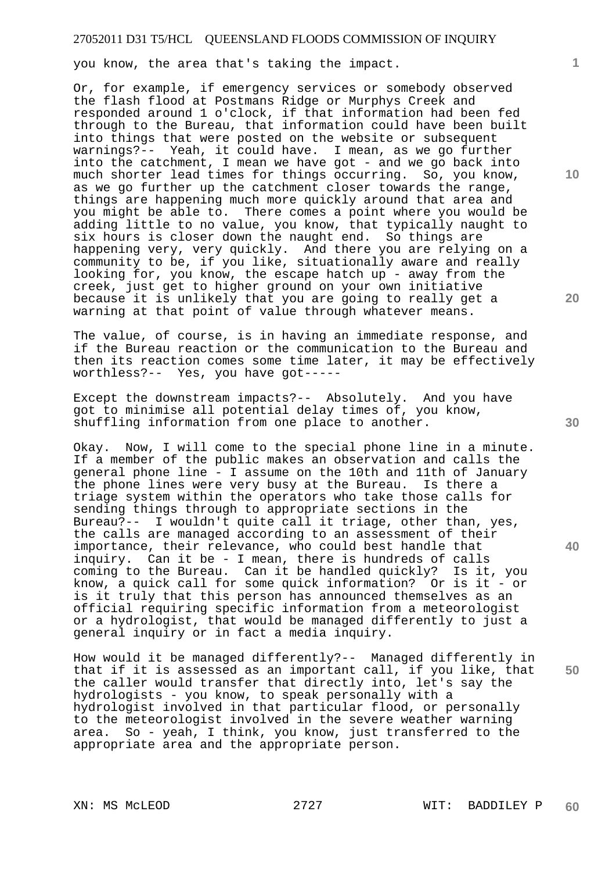you know, the area that's taking the impact.

Or, for example, if emergency services or somebody observed the flash flood at Postmans Ridge or Murphys Creek and responded around 1 o'clock, if that information had been fed through to the Bureau, that information could have been built into things that were posted on the website or subsequent warnings?-- Yeah, it could have. I mean, as we go further into the catchment, I mean we have got - and we go back into much shorter lead times for things occurring. So, you know, as we go further up the catchment closer towards the range, things are happening much more quickly around that area and you might be able to. There comes a point where you would be adding little to no value, you know, that typically naught to six hours is closer down the naught end. So things are happening very, very quickly. And there you are relying on a community to be, if you like, situationally aware and really looking for, you know, the escape hatch up - away from the creek, just get to higher ground on your own initiative because it is unlikely that you are going to really get a warning at that point of value through whatever means.

The value, of course, is in having an immediate response, and if the Bureau reaction or the communication to the Bureau and then its reaction comes some time later, it may be effectively worthless?-- Yes, you have got-----

Except the downstream impacts?-- Absolutely. And you have got to minimise all potential delay times of, you know, shuffling information from one place to another.

Okay. Now, I will come to the special phone line in a minute. If a member of the public makes an observation and calls the general phone line - I assume on the 10th and 11th of January the phone lines were very busy at the Bureau. Is there a triage system within the operators who take those calls for sending things through to appropriate sections in the Bureau?-- I wouldn't quite call it triage, other than, yes, the calls are managed according to an assessment of their importance, their relevance, who could best handle that inquiry. Can it be - I mean, there is hundreds of calls coming to the Bureau. Can it be handled quickly? Is it, you know, a quick call for some quick information? Or is it - or is it truly that this person has announced themselves as an official requiring specific information from a meteorologist or a hydrologist, that would be managed differently to just a general inquiry or in fact a media inquiry.

How would it be managed differently?-- Managed differently in that if it is assessed as an important call, if you like, that the caller would transfer that directly into, let's say the hydrologists - you know, to speak personally with a hydrologist involved in that particular flood, or personally to the meteorologist involved in the severe weather warning area. So - yeah, I think, you know, just transferred to the appropriate area and the appropriate person.

**10** 

**1**

**20** 

**40**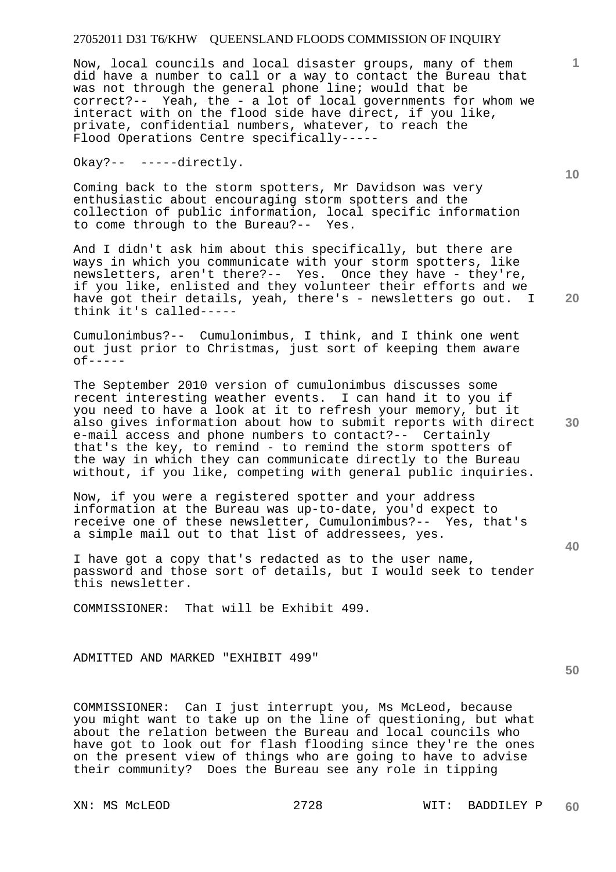Now, local councils and local disaster groups, many of them did have a number to call or a way to contact the Bureau that was not through the general phone line; would that be correct?-- Yeah, the - a lot of local governments for whom we interact with on the flood side have direct, if you like, private, confidential numbers, whatever, to reach the Flood Operations Centre specifically-----

Okay?-- -----directly.

Coming back to the storm spotters, Mr Davidson was very enthusiastic about encouraging storm spotters and the collection of public information, local specific information to come through to the Bureau?-- Yes.

And I didn't ask him about this specifically, but there are ways in which you communicate with your storm spotters, like newsletters, aren't there?-- Yes. Once they have - they're, if you like, enlisted and they volunteer their efforts and we have got their details, yeah, there's - newsletters go out. I think it's called-----

Cumulonimbus?-- Cumulonimbus, I think, and I think one went out just prior to Christmas, just sort of keeping them aware  $of---$ 

The September 2010 version of cumulonimbus discusses some recent interesting weather events. I can hand it to you if you need to have a look at it to refresh your memory, but it also gives information about how to submit reports with direct e-mail access and phone numbers to contact?-- Certainly that's the key, to remind - to remind the storm spotters of the way in which they can communicate directly to the Bureau without, if you like, competing with general public inquiries.

Now, if you were a registered spotter and your address information at the Bureau was up-to-date, you'd expect to receive one of these newsletter, Cumulonimbus?-- Yes, that's a simple mail out to that list of addressees, yes.

I have got a copy that's redacted as to the user name, password and those sort of details, but I would seek to tender this newsletter.

COMMISSIONER: That will be Exhibit 499.

ADMITTED AND MARKED "EXHIBIT 499"

COMMISSIONER: Can I just interrupt you, Ms McLeod, because you might want to take up on the line of questioning, but what about the relation between the Bureau and local councils who have got to look out for flash flooding since they're the ones on the present view of things who are going to have to advise their community? Does the Bureau see any role in tipping

**10** 

**20** 

**1**

**30** 

**40**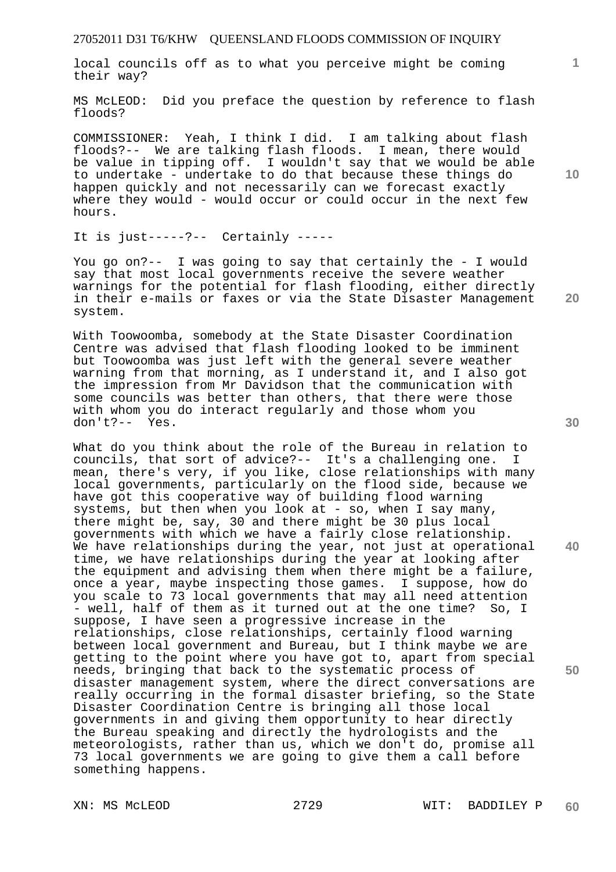local councils off as to what you perceive might be coming their way?

MS McLEOD: Did you preface the question by reference to flash floods?

COMMISSIONER: Yeah, I think I did. I am talking about flash floods?-- We are talking flash floods. I mean, there would be value in tipping off. I wouldn't say that we would be able to undertake - undertake to do that because these things do happen quickly and not necessarily can we forecast exactly where they would - would occur or could occur in the next few hours.

It is just-----?-- Certainly -----

You go on?-- I was going to say that certainly the - I would say that most local governments receive the severe weather warnings for the potential for flash flooding, either directly in their e-mails or faxes or via the State Disaster Management system.

With Toowoomba, somebody at the State Disaster Coordination Centre was advised that flash flooding looked to be imminent but Toowoomba was just left with the general severe weather warning from that morning, as I understand it, and I also got the impression from Mr Davidson that the communication with some councils was better than others, that there were those with whom you do interact regularly and those whom you don't?-- Yes.

What do you think about the role of the Bureau in relation to councils, that sort of advice?-- It's a challenging one. I mean, there's very, if you like, close relationships with many local governments, particularly on the flood side, because we have got this cooperative way of building flood warning systems, but then when you look at - so, when I say many, there might be, say, 30 and there might be 30 plus local governments with which we have a fairly close relationship. We have relationships during the year, not just at operational time, we have relationships during the year at looking after the equipment and advising them when there might be a failure, once a year, maybe inspecting those games. I suppose, how do you scale to 73 local governments that may all need attention - well, half of them as it turned out at the one time? So, I suppose, I have seen a progressive increase in the relationships, close relationships, certainly flood warning between local government and Bureau, but I think maybe we are getting to the point where you have got to, apart from special needs, bringing that back to the systematic process of disaster management system, where the direct conversations are really occurring in the formal disaster briefing, so the State Disaster Coordination Centre is bringing all those local governments in and giving them opportunity to hear directly the Bureau speaking and directly the hydrologists and the meteorologists, rather than us, which we don't do, promise all 73 local governments we are going to give them a call before something happens.

**10** 

**1**

**20** 

**40**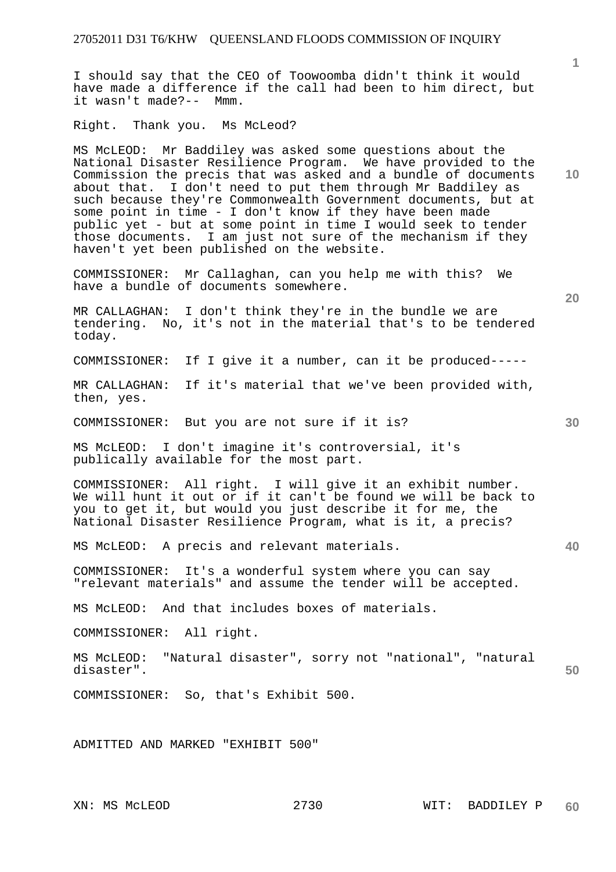I should say that the CEO of Toowoomba didn't think it would have made a difference if the call had been to him direct, but it wasn't made?-- Mmm.

Right. Thank you. Ms McLeod?

MS McLEOD: Mr Baddiley was asked some questions about the National Disaster Resilience Program. We have provided to the Commission the precis that was asked and a bundle of documents about that. I don't need to put them through Mr Baddiley as such because they're Commonwealth Government documents, but at some point in time - I don't know if they have been made public yet - but at some point in time I would seek to tender those documents. I am just not sure of the mechanism if they haven't yet been published on the website.

COMMISSIONER: Mr Callaghan, can you help me with this? We have a bundle of documents somewhere.

MR CALLAGHAN: I don't think they're in the bundle we are tendering. No, it's not in the material that's to be tendered today.

COMMISSIONER: If I give it a number, can it be produced-----

MR CALLAGHAN: If it's material that we've been provided with, then, yes.

COMMISSIONER: But you are not sure if it is?

MS McLEOD: I don't imagine it's controversial, it's publically available for the most part.

COMMISSIONER: All right. I will give it an exhibit number. We will hunt it out or if it can't be found we will be back to you to get it, but would you just describe it for me, the National Disaster Resilience Program, what is it, a precis?

MS McLEOD: A precis and relevant materials.

COMMISSIONER: It's a wonderful system where you can say "relevant materials" and assume the tender will be accepted.

MS McLEOD: And that includes boxes of materials.

COMMISSIONER: All right.

**50**  MS McLEOD: "Natural disaster", sorry not "national", "natural disaster".

COMMISSIONER: So, that's Exhibit 500.

ADMITTED AND MARKED "EXHIBIT 500"

**1**

**40**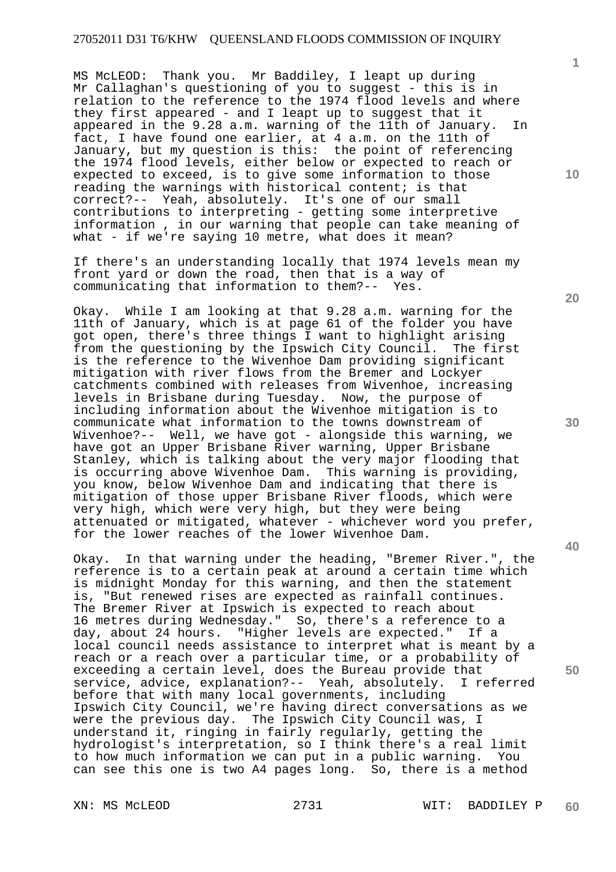MS McLEOD: Thank you. Mr Baddiley, I leapt up during Mr Callaghan's questioning of you to suggest - this is in relation to the reference to the 1974 flood levels and where they first appeared - and I leapt up to suggest that it appeared in the 9.28 a.m. warning of the 11th of January. In fact, I have found one earlier, at 4 a.m. on the 11th of January, but my question is this: the point of referencing the 1974 flood levels, either below or expected to reach or expected to exceed, is to give some information to those reading the warnings with historical content; is that correct?-- Yeah, absolutely. It's one of our small contributions to interpreting - getting some interpretive information , in our warning that people can take meaning of what - if we're saying 10 metre, what does it mean?

If there's an understanding locally that 1974 levels mean my front yard or down the road, then that is a way of communicating that information to them?-- Yes.

Okay. While I am looking at that 9.28 a.m. warning for the 11th of January, which is at page 61 of the folder you have got open, there's three things I want to highlight arising<br>from the questioning by the Ipswich City Council. The first from the questioning by the Ipswich City Council. is the reference to the Wivenhoe Dam providing significant mitigation with river flows from the Bremer and Lockyer catchments combined with releases from Wivenhoe, increasing levels in Brisbane during Tuesday. Now, the purpose of including information about the Wivenhoe mitigation is to communicate what information to the towns downstream of Wivenhoe?-- Well, we have got - alongside this warning, we have got an Upper Brisbane River warning, Upper Brisbane Stanley, which is talking about the very major flooding that is occurring above Wivenhoe Dam. This warning is providing, you know, below Wivenhoe Dam and indicating that there is mitigation of those upper Brisbane River floods, which were very high, which were very high, but they were being attenuated or mitigated, whatever - whichever word you prefer, for the lower reaches of the lower Wivenhoe Dam.

Okay. In that warning under the heading, "Bremer River.", the reference is to a certain peak at around a certain time which is midnight Monday for this warning, and then the statement is, "But renewed rises are expected as rainfall continues. The Bremer River at Ipswich is expected to reach about 16 metres during Wednesday." So, there's a reference to a day, about 24 hours. "Higher levels are expected." If a local council needs assistance to interpret what is meant by a reach or a reach over a particular time, or a probability of exceeding a certain level, does the Bureau provide that service, advice, explanation?-- Yeah, absolutely. I referred before that with many local governments, including Ipswich City Council, we're having direct conversations as we were the previous day. The Ipswich City Council was, I understand it, ringing in fairly regularly, getting the hydrologist's interpretation, so I think there's a real limit to how much information we can put in a public warning. You can see this one is two A4 pages long. So, there is a method

XN: MS McLEOD 2731 WIT: BADDILEY P **60** 

**30** 

**20** 

**40** 

**50** 

**10**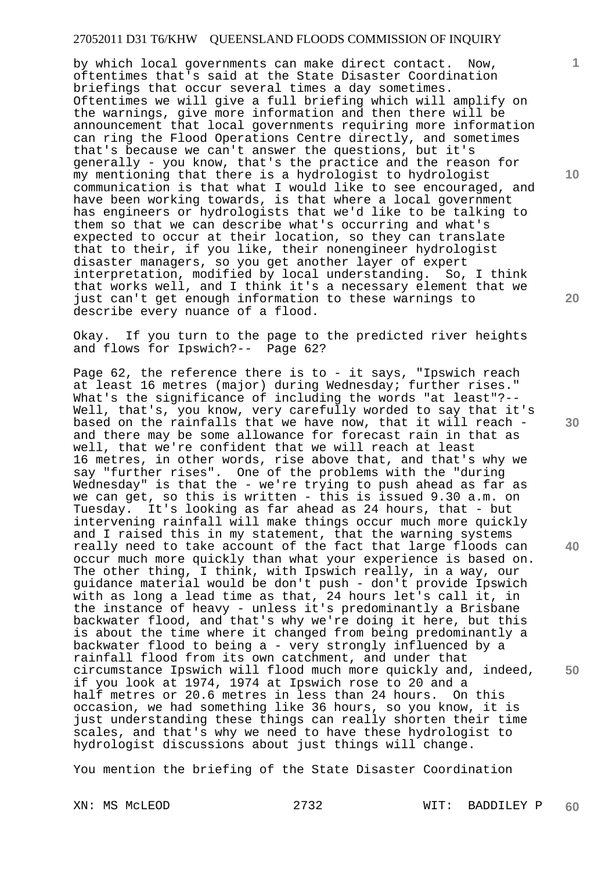by which local governments can make direct contact. Now, oftentimes that's said at the State Disaster Coordination briefings that occur several times a day sometimes. Oftentimes we will give a full briefing which will amplify on the warnings, give more information and then there will be announcement that local governments requiring more information can ring the Flood Operations Centre directly, and sometimes that's because we can't answer the questions, but it's generally - you know, that's the practice and the reason for my mentioning that there is a hydrologist to hydrologist communication is that what I would like to see encouraged, and have been working towards, is that where a local government has engineers or hydrologists that we'd like to be talking to them so that we can describe what's occurring and what's expected to occur at their location, so they can translate that to their, if you like, their nonengineer hydrologist disaster managers, so you get another layer of expert interpretation, modified by local understanding. So, I think that works well, and I think it's a necessary element that we just can't get enough information to these warnings to describe every nuance of a flood.

Okay. If you turn to the page to the predicted river heights and flows for Ipswich?-- Page 62?

Page 62, the reference there is to - it says, "Ipswich reach at least 16 metres (major) during Wednesday; further rises." What's the significance of including the words "at least"?-- Well, that's, you know, very carefully worded to say that it's based on the rainfalls that we have now, that it will reach and there may be some allowance for forecast rain in that as well, that we're confident that we will reach at least 16 metres, in other words, rise above that, and that's why we say "further rises". One of the problems with the "during Wednesday" is that the - we're trying to push ahead as far as we can get, so this is written - this is issued 9.30 a.m. on Tuesday. It's looking as far ahead as 24 hours, that - but intervening rainfall will make things occur much more quickly and I raised this in my statement, that the warning systems really need to take account of the fact that large floods can occur much more quickly than what your experience is based on. The other thing, I think, with Ipswich really, in a way, our guidance material would be don't push - don't provide Ipswich with as long a lead time as that, 24 hours let's call it, in the instance of heavy - unless it's predominantly a Brisbane backwater flood, and that's why we're doing it here, but this is about the time where it changed from being predominantly a backwater flood to being a - very strongly influenced by a rainfall flood from its own catchment, and under that circumstance Ipswich will flood much more quickly and, indeed, if you look at 1974, 1974 at Ipswich rose to 20 and a half metres or 20.6 metres in less than 24 hours. On this occasion, we had something like 36 hours, so you know, it is just understanding these things can really shorten their time scales, and that's why we need to have these hydrologist to hydrologist discussions about just things will change.

You mention the briefing of the State Disaster Coordination

XN: MS McLEOD 2732 WIT: BADDILEY P **60** 

**10** 

**1**

**20** 

**30** 

**40**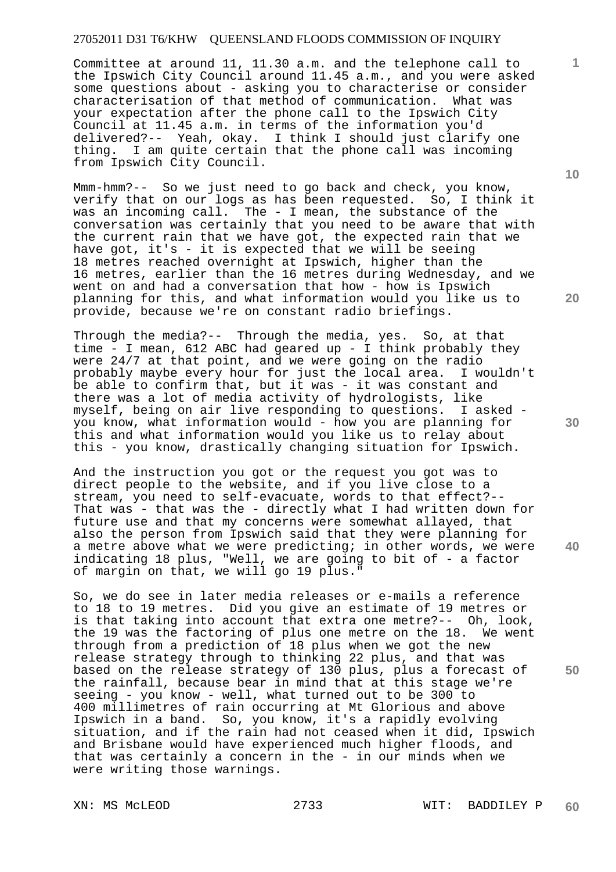Committee at around 11, 11.30 a.m. and the telephone call to the Ipswich City Council around 11.45 a.m., and you were asked some questions about - asking you to characterise or consider characterisation of that method of communication. What was your expectation after the phone call to the Ipswich City Council at 11.45 a.m. in terms of the information you'd delivered?-- Yeah, okay. I think I should just clarify one thing. I am quite certain that the phone call was incoming from Ipswich City Council.

Mmm-hmm?-- So we just need to go back and check, you know, verify that on our logs as has been requested. So, I think it was an incoming call. The - I mean, the substance of the conversation was certainly that you need to be aware that with the current rain that we have got, the expected rain that we have got, it's - it is expected that we will be seeing 18 metres reached overnight at Ipswich, higher than the 16 metres, earlier than the 16 metres during Wednesday, and we went on and had a conversation that how - how is Ipswich planning for this, and what information would you like us to provide, because we're on constant radio briefings.

Through the media?-- Through the media, yes. So, at that time - I mean, 612 ABC had geared up - I think probably they were 24/7 at that point, and we were going on the radio probably maybe every hour for just the local area. I wouldn't be able to confirm that, but it was - it was constant and there was a lot of media activity of hydrologists, like myself, being on air live responding to questions. I asked you know, what information would - how you are planning for this and what information would you like us to relay about this - you know, drastically changing situation for Ipswich.

And the instruction you got or the request you got was to direct people to the website, and if you live close to a stream, you need to self-evacuate, words to that effect?-- That was - that was the - directly what I had written down for future use and that my concerns were somewhat allayed, that also the person from Ipswich said that they were planning for a metre above what we were predicting; in other words, we were indicating 18 plus, "Well, we are going to bit of - a factor of margin on that, we will go 19 plus."

So, we do see in later media releases or e-mails a reference to 18 to 19 metres. Did you give an estimate of 19 metres or is that taking into account that extra one metre?-- Oh, look, the 19 was the factoring of plus one metre on the 18. We went through from a prediction of 18 plus when we got the new release strategy through to thinking 22 plus, and that was based on the release strategy of 130 plus, plus a forecast of the rainfall, because bear in mind that at this stage we're seeing - you know - well, what turned out to be 300 to 400 millimetres of rain occurring at Mt Glorious and above Ipswich in a band. So, you know, it's a rapidly evolving situation, and if the rain had not ceased when it did, Ipswich and Brisbane would have experienced much higher floods, and that was certainly a concern in the - in our minds when we were writing those warnings.

**10** 

**1**

**20** 

**30** 

**40**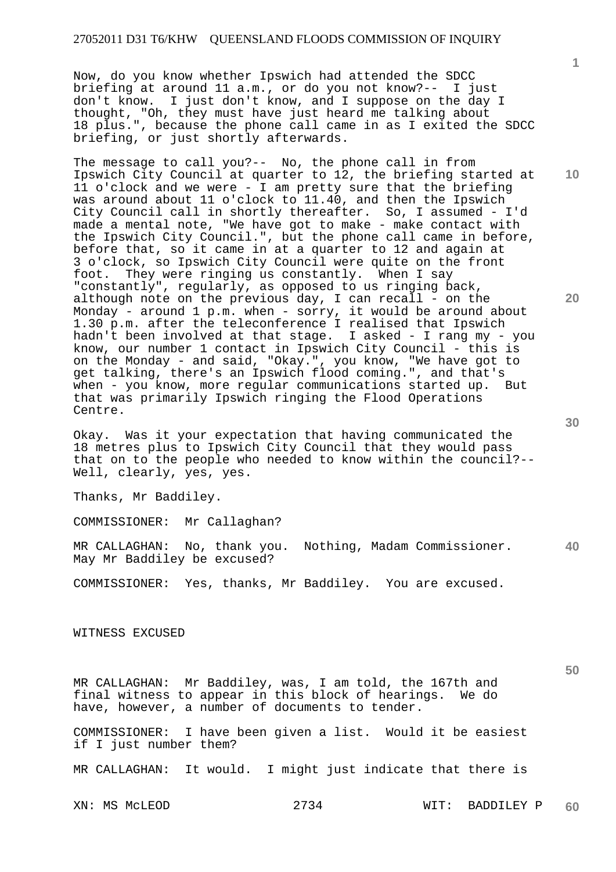Now, do you know whether Ipswich had attended the SDCC briefing at around 11 a.m., or do you not know?-- I just don't know. I just don't know, and I suppose on the day I thought, "Oh, they must have just heard me talking about 18 plus.", because the phone call came in as I exited the SDCC briefing, or just shortly afterwards.

The message to call you?-- No, the phone call in from Ipswich City Council at quarter to 12, the briefing started at 11 o'clock and we were - I am pretty sure that the briefing was around about 11 o'clock to 11.40, and then the Ipswich City Council call in shortly thereafter. So, I assumed - I'd made a mental note, "We have got to make - make contact with the Ipswich City Council.", but the phone call came in before, before that, so it came in at a quarter to 12 and again at 3 o'clock, so Ipswich City Council were quite on the front foot. They were ringing us constantly. When I say "constantly", regularly, as opposed to us ringing back, although note on the previous day, I can recall - on the Monday - around 1 p.m. when - sorry, it would be around about 1.30 p.m. after the teleconference I realised that Ipswich hadn't been involved at that stage. I asked - I rang my - you know, our number 1 contact in Ipswich City Council - this is on the Monday - and said, "Okay.", you know, "We have got to get talking, there's an Ipswich flood coming.", and that's when - you know, more regular communications started up. But that was primarily Ipswich ringing the Flood Operations Centre.

Okay. Was it your expectation that having communicated the 18 metres plus to Ipswich City Council that they would pass that on to the people who needed to know within the council?-- Well, clearly, yes, yes.

Thanks, Mr Baddiley.

COMMISSIONER: Mr Callaghan?

**40**  MR CALLAGHAN: No, thank you. Nothing, Madam Commissioner. May Mr Baddiley be excused?

COMMISSIONER: Yes, thanks, Mr Baddiley. You are excused.

WITNESS EXCUSED

MR CALLAGHAN: Mr Baddiley, was, I am told, the 167th and final witness to appear in this block of hearings. We do have, however, a number of documents to tender.

COMMISSIONER: I have been given a list. Would it be easiest if I just number them?

MR CALLAGHAN: It would. I might just indicate that there is

XN: MS McLEOD 2734 WIT: BADDILEY P **60** 

**30** 

**50** 

**1**

**10**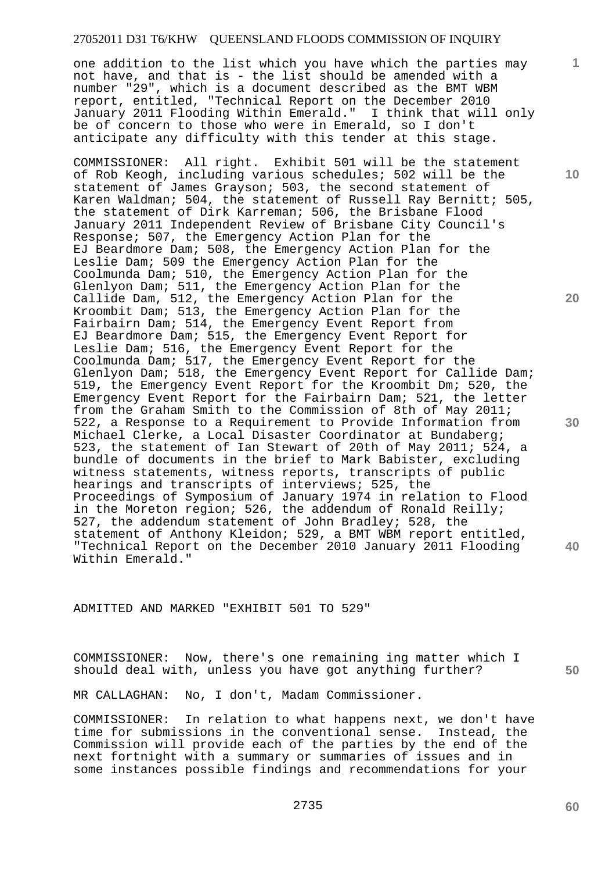one addition to the list which you have which the parties may not have, and that is - the list should be amended with a number "29", which is a document described as the BMT WBM report, entitled, "Technical Report on the December 2010 January 2011 Flooding Within Emerald." I think that will only be of concern to those who were in Emerald, so I don't anticipate any difficulty with this tender at this stage.

COMMISSIONER: All right. Exhibit 501 will be the statement of Rob Keogh, including various schedules; 502 will be the statement of James Grayson; 503, the second statement of Karen Waldman; 504, the statement of Russell Ray Bernitt; 505, the statement of Dirk Karreman; 506, the Brisbane Flood January 2011 Independent Review of Brisbane City Council's Response; 507, the Emergency Action Plan for the EJ Beardmore Dam; 508, the Emergency Action Plan for the Leslie Dam; 509 the Emergency Action Plan for the Coolmunda Dam; 510, the Emergency Action Plan for the Glenlyon Dam; 511, the Emergency Action Plan for the Callide Dam, 512, the Emergency Action Plan for the Kroombit Dam; 513, the Emergency Action Plan for the Fairbairn Dam; 514, the Emergency Event Report from EJ Beardmore Dam; 515, the Emergency Event Report for Leslie Dam; 516, the Emergency Event Report for the Coolmunda Dam; 517, the Emergency Event Report for the Glenlyon Dam; 518, the Emergency Event Report for Callide Dam; 519, the Emergency Event Report for the Kroombit Dm; 520, the Emergency Event Report for the Fairbairn Dam; 521, the letter from the Graham Smith to the Commission of 8th of May 2011; 522, a Response to a Requirement to Provide Information from Michael Clerke, a Local Disaster Coordinator at Bundaberg; 523, the statement of Ian Stewart of 20th of May 2011; 524, a bundle of documents in the brief to Mark Babister, excluding witness statements, witness reports, transcripts of public hearings and transcripts of interviews; 525, the Proceedings of Symposium of January 1974 in relation to Flood in the Moreton region; 526, the addendum of Ronald Reilly; 527, the addendum statement of John Bradley; 528, the statement of Anthony Kleidon; 529, a BMT WBM report entitled, "Technical Report on the December 2010 January 2011 Flooding Within Emerald."

ADMITTED AND MARKED "EXHIBIT 501 TO 529"

COMMISSIONER: Now, there's one remaining ing matter which I should deal with, unless you have got anything further?

**50** 

MR CALLAGHAN: No, I don't, Madam Commissioner.

COMMISSIONER: In relation to what happens next, we don't have time for submissions in the conventional sense. Instead, the Commission will provide each of the parties by the end of the next fortnight with a summary or summaries of issues and in some instances possible findings and recommendations for your

**10** 

**1**

**20**